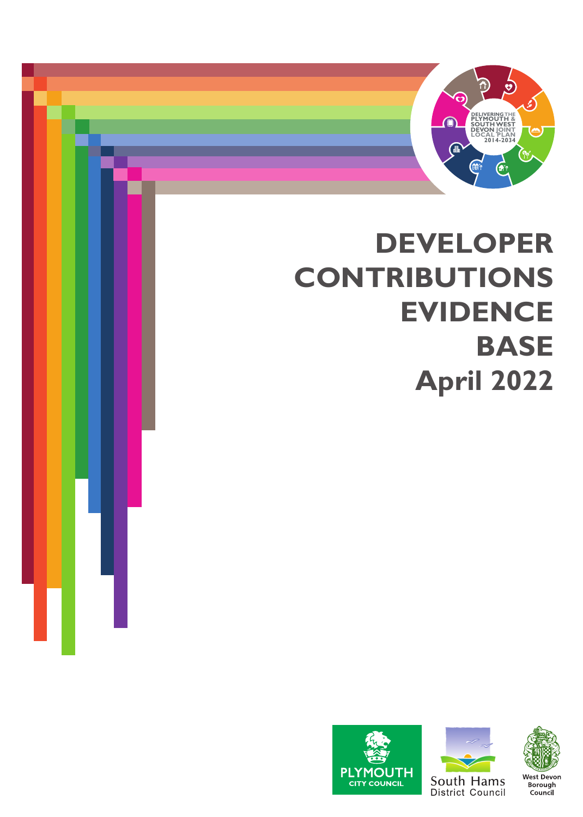

# **DEVELOPER CONTRIBUTIONS EVIDENCE BASE April 2022**





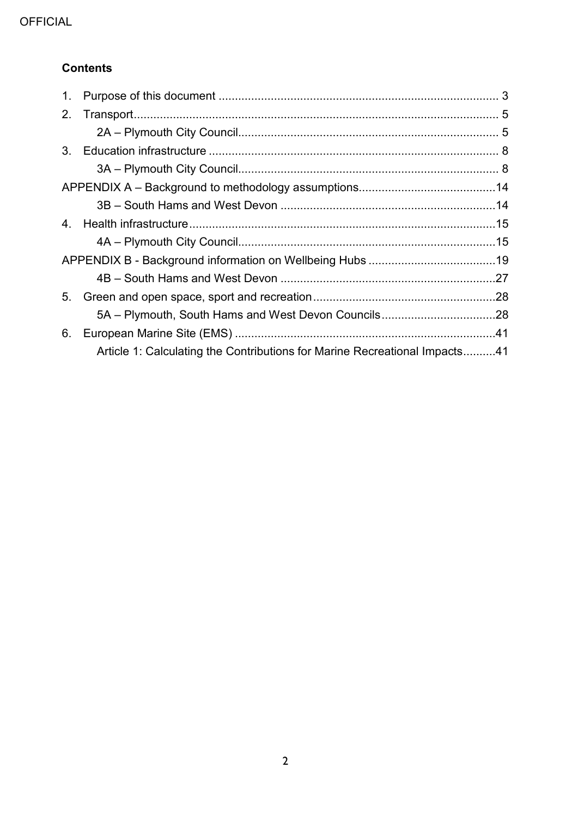## **Contents**

| 1.      |                                                                            |  |
|---------|----------------------------------------------------------------------------|--|
| 2.      |                                                                            |  |
|         |                                                                            |  |
| $3_{-}$ |                                                                            |  |
|         |                                                                            |  |
|         |                                                                            |  |
|         |                                                                            |  |
| 4.      |                                                                            |  |
|         |                                                                            |  |
|         |                                                                            |  |
|         |                                                                            |  |
| 5.      |                                                                            |  |
|         | 5A - Plymouth, South Hams and West Devon Councils28                        |  |
| 6.      |                                                                            |  |
|         | Article 1: Calculating the Contributions for Marine Recreational Impacts41 |  |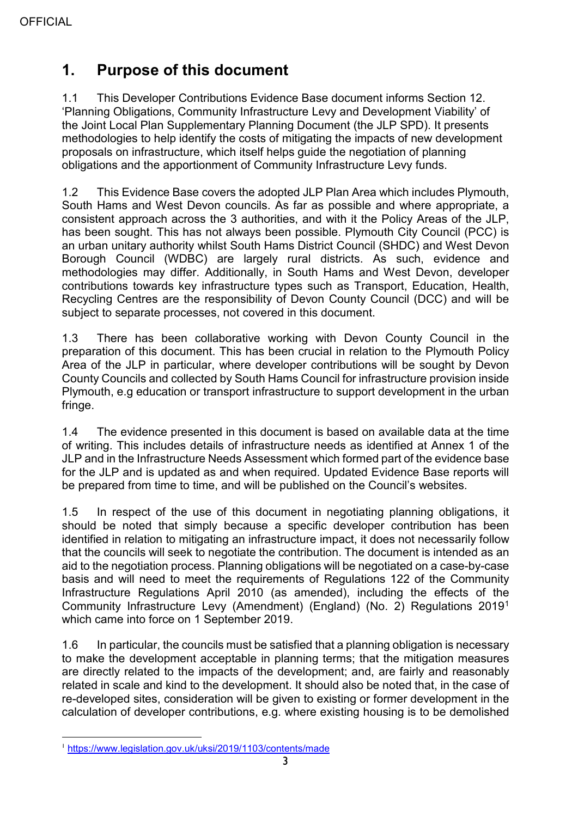# <span id="page-2-0"></span>**1. Purpose of this document**

1.1 This Developer Contributions Evidence Base document informs Section 12. 'Planning Obligations, Community Infrastructure Levy and Development Viability' of the Joint Local Plan Supplementary Planning Document (the JLP SPD). It presents methodologies to help identify the costs of mitigating the impacts of new development proposals on infrastructure, which itself helps guide the negotiation of planning obligations and the apportionment of Community Infrastructure Levy funds.

1.2 This Evidence Base covers the adopted JLP Plan Area which includes Plymouth, South Hams and West Devon councils. As far as possible and where appropriate, a consistent approach across the 3 authorities, and with it the Policy Areas of the JLP, has been sought. This has not always been possible. Plymouth City Council (PCC) is an urban unitary authority whilst South Hams District Council (SHDC) and West Devon Borough Council (WDBC) are largely rural districts. As such, evidence and methodologies may differ. Additionally, in South Hams and West Devon, developer contributions towards key infrastructure types such as Transport, Education, Health, Recycling Centres are the responsibility of Devon County Council (DCC) and will be subject to separate processes, not covered in this document.

1.3 There has been collaborative working with Devon County Council in the preparation of this document. This has been crucial in relation to the Plymouth Policy Area of the JLP in particular, where developer contributions will be sought by Devon County Councils and collected by South Hams Council for infrastructure provision inside Plymouth, e.g education or transport infrastructure to support development in the urban fringe.

1.4 The evidence presented in this document is based on available data at the time of writing. This includes details of infrastructure needs as identified at Annex 1 of the JLP and in the Infrastructure Needs Assessment which formed part of the evidence base for the JLP and is updated as and when required. Updated Evidence Base reports will be prepared from time to time, and will be published on the Council's websites.

1.5 In respect of the use of this document in negotiating planning obligations, it should be noted that simply because a specific developer contribution has been identified in relation to mitigating an infrastructure impact, it does not necessarily follow that the councils will seek to negotiate the contribution. The document is intended as an aid to the negotiation process. Planning obligations will be negotiated on a case-by-case basis and will need to meet the requirements of Regulations 122 of the Community Infrastructure Regulations April 2010 (as amended), including the effects of the Community Infrastructure Levy (Amendment) (England) (No. 2) Regulations 2019[1](#page-2-1) which came into force on 1 September 2019.

1.6 In particular, the councils must be satisfied that a planning obligation is necessary to make the development acceptable in planning terms; that the mitigation measures are directly related to the impacts of the development; and, are fairly and reasonably related in scale and kind to the development. It should also be noted that, in the case of re-developed sites, consideration will be given to existing or former development in the calculation of developer contributions, e.g. where existing housing is to be demolished

<span id="page-2-1"></span> <sup>1</sup> <https://www.legislation.gov.uk/uksi/2019/1103/contents/made>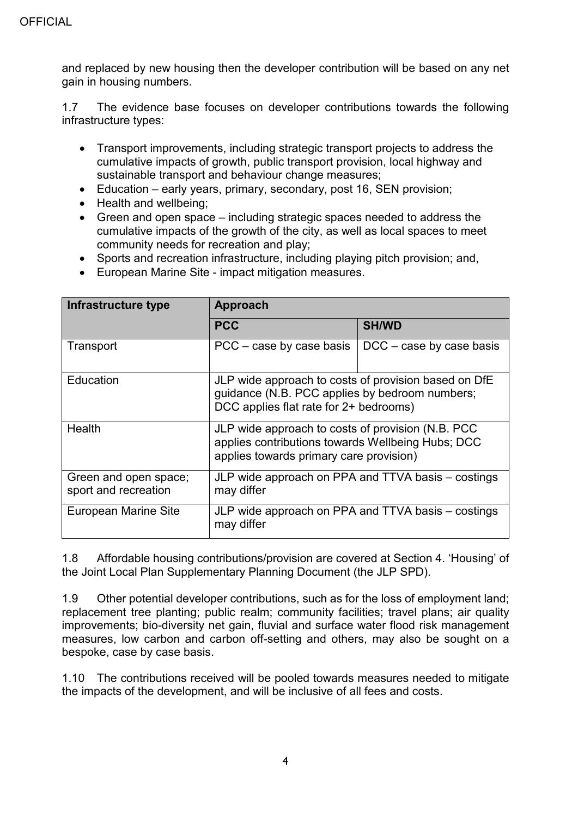and replaced by new housing then the developer contribution will be based on any net gain in housing numbers.

1.7 The evidence base focuses on developer contributions towards the following infrastructure types:

- Transport improvements, including strategic transport projects to address the cumulative impacts of growth, public transport provision, local highway and sustainable transport and behaviour change measures;
- Education early years, primary, secondary, post 16, SEN provision;
- Health and wellbeing;
- Green and open space including strategic spaces needed to address the cumulative impacts of the growth of the city, as well as local spaces to meet community needs for recreation and play;
- Sports and recreation infrastructure, including playing pitch provision; and,
- European Marine Site impact mitigation measures.

| Infrastructure type                           | <b>Approach</b>                                                                                                                                   |              |  |
|-----------------------------------------------|---------------------------------------------------------------------------------------------------------------------------------------------------|--------------|--|
|                                               | <b>PCC</b>                                                                                                                                        | <b>SH/WD</b> |  |
| Transport                                     | $PCC - case$ by case basis<br>$DCC - case$ by case basis                                                                                          |              |  |
| Education                                     | JLP wide approach to costs of provision based on DfE<br>guidance (N.B. PCC applies by bedroom numbers;<br>DCC applies flat rate for 2+ bedrooms)  |              |  |
| Health                                        | JLP wide approach to costs of provision (N.B. PCC<br>applies contributions towards Wellbeing Hubs; DCC<br>applies towards primary care provision) |              |  |
| Green and open space;<br>sport and recreation | JLP wide approach on PPA and TTVA basis – costings<br>may differ                                                                                  |              |  |
| European Marine Site                          | JLP wide approach on PPA and TTVA basis – costings<br>may differ                                                                                  |              |  |

1.8 Affordable housing contributions/provision are covered at Section 4. 'Housing' of the Joint Local Plan Supplementary Planning Document (the JLP SPD).

1.9 Other potential developer contributions, such as for the loss of employment land; replacement tree planting; public realm; community facilities; travel plans; air quality improvements; bio-diversity net gain, fluvial and surface water flood risk management measures, low carbon and carbon off-setting and others, may also be sought on a bespoke, case by case basis.

1.10 The contributions received will be pooled towards measures needed to mitigate the impacts of the development, and will be inclusive of all fees and costs.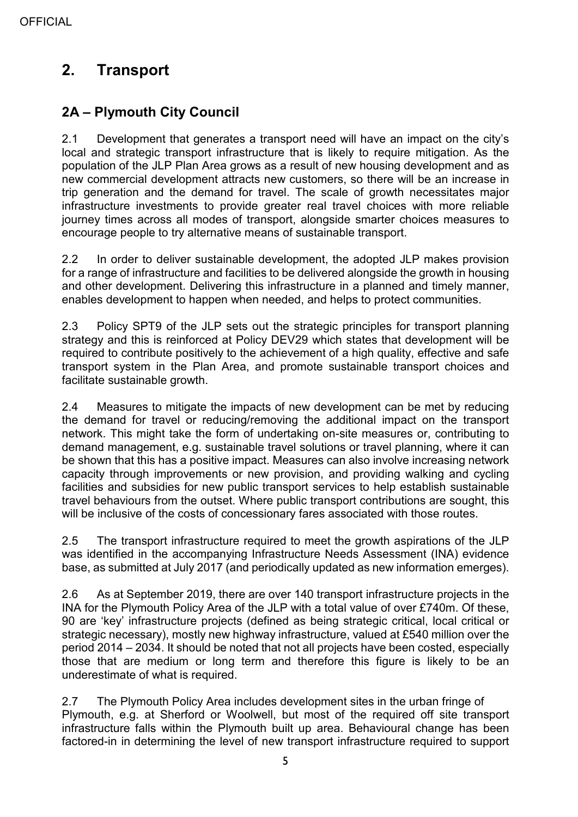# <span id="page-4-0"></span>**2. Transport**

## <span id="page-4-1"></span>**2A – Plymouth City Council**

2.1 Development that generates a transport need will have an impact on the city's local and strategic transport infrastructure that is likely to require mitigation. As the population of the JLP Plan Area grows as a result of new housing development and as new commercial development attracts new customers, so there will be an increase in trip generation and the demand for travel. The scale of growth necessitates major infrastructure investments to provide greater real travel choices with more reliable journey times across all modes of transport, alongside smarter choices measures to encourage people to try alternative means of sustainable transport.

2.2 In order to deliver sustainable development, the adopted JLP makes provision for a range of infrastructure and facilities to be delivered alongside the growth in housing and other development. Delivering this infrastructure in a planned and timely manner, enables development to happen when needed, and helps to protect communities.

2.3 Policy SPT9 of the JLP sets out the strategic principles for transport planning strategy and this is reinforced at Policy DEV29 which states that development will be required to contribute positively to the achievement of a high quality, effective and safe transport system in the Plan Area, and promote sustainable transport choices and facilitate sustainable growth.

2.4 Measures to mitigate the impacts of new development can be met by reducing the demand for travel or reducing/removing the additional impact on the transport network. This might take the form of undertaking on-site measures or, contributing to demand management, e.g. sustainable travel solutions or travel planning, where it can be shown that this has a positive impact. Measures can also involve increasing network capacity through improvements or new provision, and providing walking and cycling facilities and subsidies for new public transport services to help establish sustainable travel behaviours from the outset. Where public transport contributions are sought, this will be inclusive of the costs of concessionary fares associated with those routes.

2.5 The transport infrastructure required to meet the growth aspirations of the JLP was identified in the accompanying Infrastructure Needs Assessment (INA) evidence base, as submitted at July 2017 (and periodically updated as new information emerges).

2.6 As at September 2019, there are over 140 transport infrastructure projects in the INA for the Plymouth Policy Area of the JLP with a total value of over £740m. Of these, 90 are 'key' infrastructure projects (defined as being strategic critical, local critical or strategic necessary), mostly new highway infrastructure, valued at £540 million over the period 2014 – 2034. It should be noted that not all projects have been costed, especially those that are medium or long term and therefore this figure is likely to be an underestimate of what is required.

2.7 The Plymouth Policy Area includes development sites in the urban fringe of Plymouth, e.g. at Sherford or Woolwell, but most of the required off site transport infrastructure falls within the Plymouth built up area. Behavioural change has been factored-in in determining the level of new transport infrastructure required to support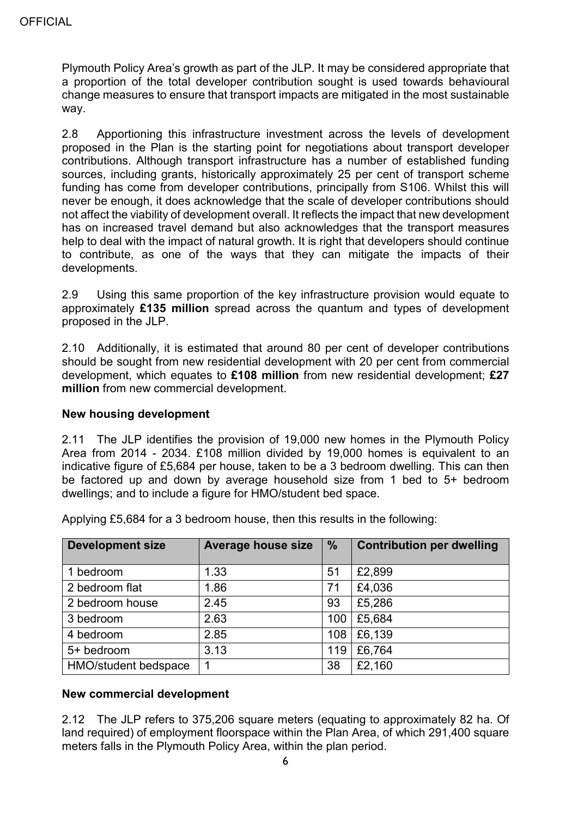Plymouth Policy Area's growth as part of the JLP. It may be considered appropriate that a proportion of the total developer contribution sought is used towards behavioural change measures to ensure that transport impacts are mitigated in the most sustainable way.

2.8 Apportioning this infrastructure investment across the levels of development proposed in the Plan is the starting point for negotiations about transport developer contributions. Although transport infrastructure has a number of established funding sources, including grants, historically approximately 25 per cent of transport scheme funding has come from developer contributions, principally from S106. Whilst this will never be enough, it does acknowledge that the scale of developer contributions should not affect the viability of development overall. It reflects the impact that new development has on increased travel demand but also acknowledges that the transport measures help to deal with the impact of natural growth. It is right that developers should continue to contribute, as one of the ways that they can mitigate the impacts of their developments.

2.9 Using this same proportion of the key infrastructure provision would equate to approximately **£135 million** spread across the quantum and types of development proposed in the JLP.

2.10 Additionally, it is estimated that around 80 per cent of developer contributions should be sought from new residential development with 20 per cent from commercial development, which equates to **£108 million** from new residential development; **£27 million** from new commercial development.

#### **New housing development**

2.11 The JLP identifies the provision of 19,000 new homes in the Plymouth Policy Area from 2014 - 2034. £108 million divided by 19,000 homes is equivalent to an indicative figure of £5,684 per house, taken to be a 3 bedroom dwelling. This can then be factored up and down by average household size from 1 bed to 5+ bedroom dwellings; and to include a figure for HMO/student bed space.

Applying £5,684 for a 3 bedroom house, then this results in the following:

| <b>Development size</b> | <b>Average house size</b> | $\frac{9}{6}$ | <b>Contribution per dwelling</b> |
|-------------------------|---------------------------|---------------|----------------------------------|
| 1 bedroom               | 1.33                      | 51            | £2,899                           |
| 2 bedroom flat          | 1.86                      | 71            | £4,036                           |
| 2 bedroom house         | 2.45                      | 93            | £5,286                           |
| 3 bedroom               | 2.63                      | 100           | £5,684                           |
| 4 bedroom               | 2.85                      | 108           | £6,139                           |
| 5+ bedroom              | 3.13                      | 119           | £6,764                           |
| HMO/student bedspace    | 1                         | 38            | £2,160                           |

#### **New commercial development**

2.12 The JLP refers to 375,206 square meters (equating to approximately 82 ha. Of land required) of employment floorspace within the Plan Area, of which 291,400 square meters falls in the Plymouth Policy Area, within the plan period.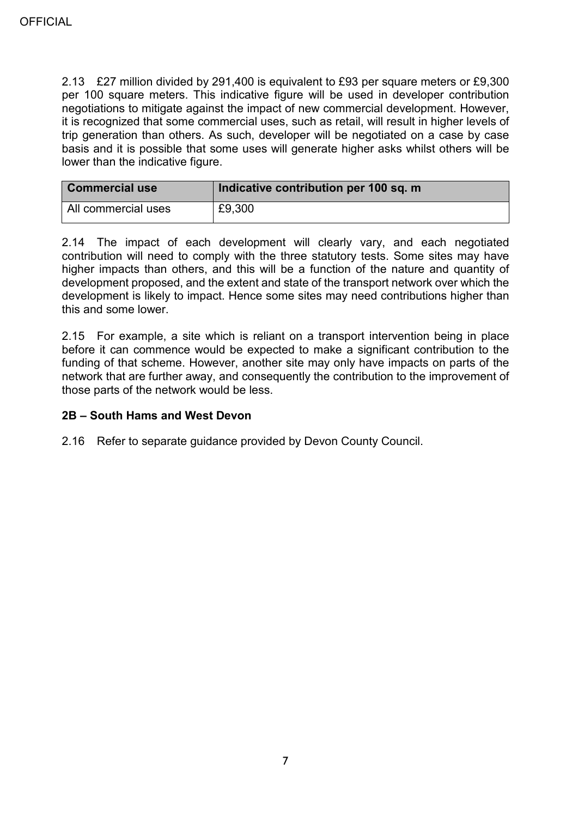2.13 £27 million divided by 291,400 is equivalent to £93 per square meters or £9,300 per 100 square meters. This indicative figure will be used in developer contribution negotiations to mitigate against the impact of new commercial development. However, it is recognized that some commercial uses, such as retail, will result in higher levels of trip generation than others. As such, developer will be negotiated on a case by case basis and it is possible that some uses will generate higher asks whilst others will be lower than the indicative figure.

| <b>Commercial use</b> | Indicative contribution per 100 sq. m |
|-----------------------|---------------------------------------|
| All commercial uses   | £9,300                                |

2.14 The impact of each development will clearly vary, and each negotiated contribution will need to comply with the three statutory tests. Some sites may have higher impacts than others, and this will be a function of the nature and quantity of development proposed, and the extent and state of the transport network over which the development is likely to impact. Hence some sites may need contributions higher than this and some lower.

2.15 For example, a site which is reliant on a transport intervention being in place before it can commence would be expected to make a significant contribution to the funding of that scheme. However, another site may only have impacts on parts of the network that are further away, and consequently the contribution to the improvement of those parts of the network would be less.

### **2B – South Hams and West Devon**

2.16 Refer to separate guidance provided by Devon County Council.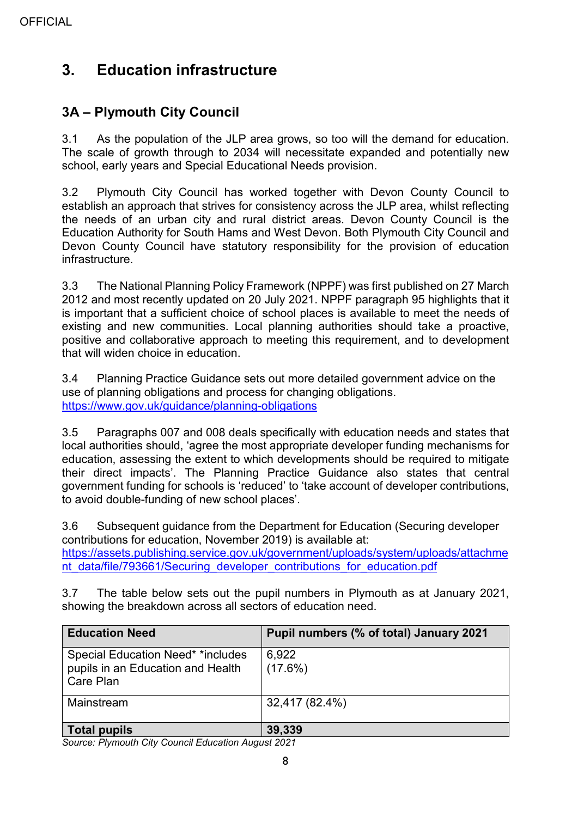# <span id="page-7-0"></span>**3. Education infrastructure**

## <span id="page-7-1"></span>**3A – Plymouth City Council**

3.1 As the population of the JLP area grows, so too will the demand for education. The scale of growth through to 2034 will necessitate expanded and potentially new school, early years and Special Educational Needs provision.

3.2 Plymouth City Council has worked together with Devon County Council to establish an approach that strives for consistency across the JLP area, whilst reflecting the needs of an urban city and rural district areas. Devon County Council is the Education Authority for South Hams and West Devon. Both Plymouth City Council and Devon County Council have statutory responsibility for the provision of education infrastructure.

3.3 The National Planning Policy Framework (NPPF) was first published on 27 March 2012 and most recently updated on 20 July 2021. NPPF paragraph 95 highlights that it is important that a sufficient choice of school places is available to meet the needs of existing and new communities. Local planning authorities should take a proactive, positive and collaborative approach to meeting this requirement, and to development that will widen choice in education.

3.4 Planning Practice Guidance sets out more detailed government advice on the use of planning obligations and process for changing obligations. <https://www.gov.uk/guidance/planning-obligations>

3.5 Paragraphs 007 and 008 deals specifically with education needs and states that local authorities should, 'agree the most appropriate developer funding mechanisms for education, assessing the extent to which developments should be required to mitigate their direct impacts'. The Planning Practice Guidance also states that central government funding for schools is 'reduced' to 'take account of developer contributions, to avoid double-funding of new school places'.

3.6 Subsequent guidance from the Department for Education (Securing developer contributions for education, November 2019) is available at: [https://assets.publishing.service.gov.uk/government/uploads/system/uploads/attachme](https://assets.publishing.service.gov.uk/government/uploads/system/uploads/attachment_data/file/793661/Securing_developer_contributions_for_education.pdf) [nt\\_data/file/793661/Securing\\_developer\\_contributions\\_for\\_education.pdf](https://assets.publishing.service.gov.uk/government/uploads/system/uploads/attachment_data/file/793661/Securing_developer_contributions_for_education.pdf)

3.7 The table below sets out the pupil numbers in Plymouth as at January 2021, showing the breakdown across all sectors of education need.

| <b>Education Need</b>                                                                      | Pupil numbers (% of total) January 2021 |
|--------------------------------------------------------------------------------------------|-----------------------------------------|
| <b>Special Education Need* *includes</b><br>pupils in an Education and Health<br>Care Plan | 6,922<br>$(17.6\%)$                     |
| Mainstream                                                                                 | 32,417 (82.4%)                          |
| <b>Total pupils</b><br>$0.0001$ $0.0001$ $0.0001$ $0.0001$ $0.0001$ $0.0001$               | 39,339                                  |

*Source: Plymouth City Council Education August 2021*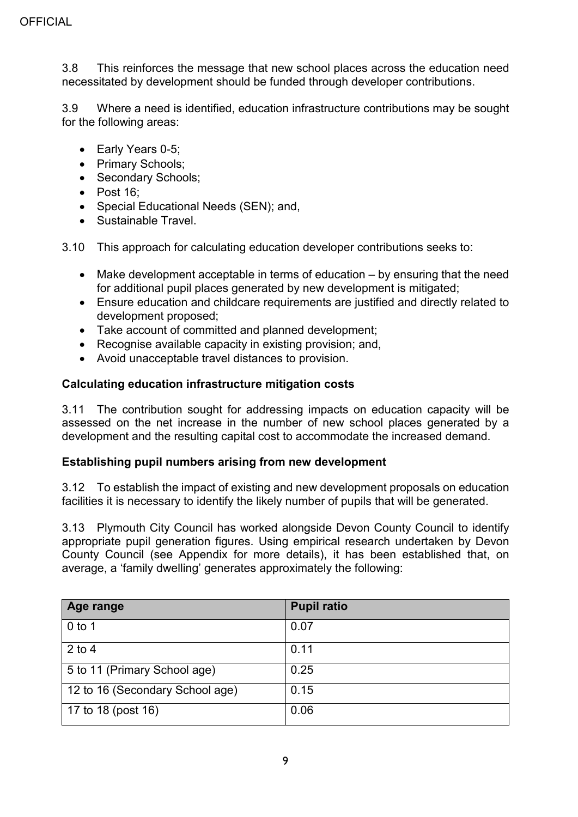3.8 This reinforces the message that new school places across the education need necessitated by development should be funded through developer contributions.

3.9 Where a need is identified, education infrastructure contributions may be sought for the following areas:

- Early Years 0-5;
- Primary Schools;
- Secondary Schools;
- Post 16;
- Special Educational Needs (SEN); and,
- Sustainable Travel.
- 3.10 This approach for calculating education developer contributions seeks to:
	- Make development acceptable in terms of education by ensuring that the need for additional pupil places generated by new development is mitigated;
	- Ensure education and childcare requirements are justified and directly related to development proposed;
	- Take account of committed and planned development;
	- Recognise available capacity in existing provision; and,
	- Avoid unacceptable travel distances to provision.

#### **Calculating education infrastructure mitigation costs**

3.11 The contribution sought for addressing impacts on education capacity will be assessed on the net increase in the number of new school places generated by a development and the resulting capital cost to accommodate the increased demand.

#### **Establishing pupil numbers arising from new development**

3.12 To establish the impact of existing and new development proposals on education facilities it is necessary to identify the likely number of pupils that will be generated.

3.13 Plymouth City Council has worked alongside Devon County Council to identify appropriate pupil generation figures. Using empirical research undertaken by Devon County Council (see Appendix for more details), it has been established that, on average, a 'family dwelling' generates approximately the following:

| <b>Age range</b>                | <b>Pupil ratio</b> |
|---------------------------------|--------------------|
| $0$ to 1                        | 0.07               |
| $2$ to 4                        | 0.11               |
| 5 to 11 (Primary School age)    | 0.25               |
| 12 to 16 (Secondary School age) | 0.15               |
| 17 to 18 (post 16)              | 0.06               |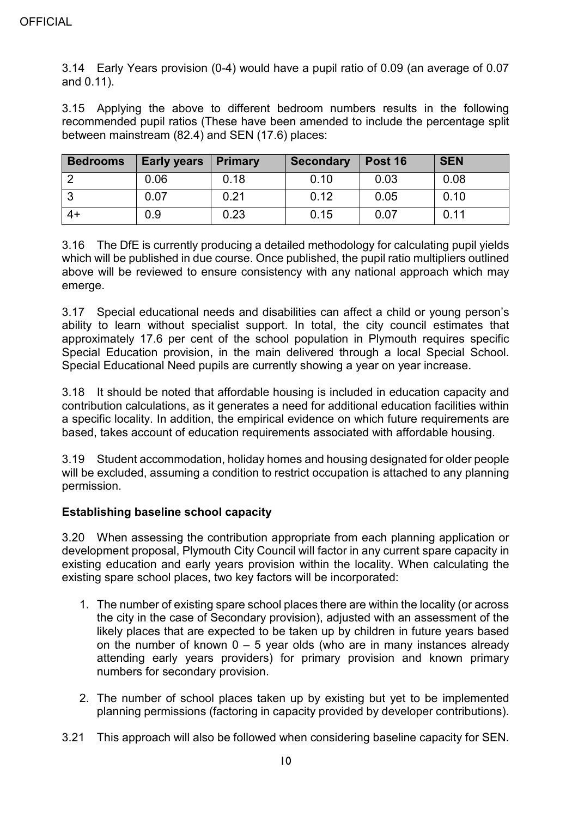3.14 Early Years provision (0-4) would have a pupil ratio of 0.09 (an average of 0.07 and 0.11).

3.15 Applying the above to different bedroom numbers results in the following recommended pupil ratios (These have been amended to include the percentage split between mainstream (82.4) and SEN (17.6) places:

| <b>Bedrooms</b> | <b>Early years</b> | <b>Primary</b> | <b>Secondary</b> | Post 16 | <b>SEN</b> |
|-----------------|--------------------|----------------|------------------|---------|------------|
|                 | 0.06               | 0.18           | 0.10             | 0.03    | 0.08       |
|                 | 0.07               | 0.21           | 0.12             | 0.05    | 0.10       |
| $4+$            | 0.9                | 0.23           | 0.15             | 0.07    | 0.11       |

3.16 The DfE is currently producing a detailed methodology for calculating pupil yields which will be published in due course. Once published, the pupil ratio multipliers outlined above will be reviewed to ensure consistency with any national approach which may emerge.

3.17 Special educational needs and disabilities can affect a child or young person's ability to learn without specialist support. In total, the city council estimates that approximately 17.6 per cent of the school population in Plymouth requires specific Special Education provision, in the main delivered through a local Special School. Special Educational Need pupils are currently showing a year on year increase.

3.18 It should be noted that affordable housing is included in education capacity and contribution calculations, as it generates a need for additional education facilities within a specific locality. In addition, the empirical evidence on which future requirements are based, takes account of education requirements associated with affordable housing.

3.19 Student accommodation, holiday homes and housing designated for older people will be excluded, assuming a condition to restrict occupation is attached to any planning permission.

## **Establishing baseline school capacity**

3.20 When assessing the contribution appropriate from each planning application or development proposal, Plymouth City Council will factor in any current spare capacity in existing education and early years provision within the locality. When calculating the existing spare school places, two key factors will be incorporated:

- 1. The number of existing spare school places there are within the locality (or across the city in the case of Secondary provision), adjusted with an assessment of the likely places that are expected to be taken up by children in future years based on the number of known  $0 - 5$  year olds (who are in many instances already attending early years providers) for primary provision and known primary numbers for secondary provision.
- 2. The number of school places taken up by existing but yet to be implemented planning permissions (factoring in capacity provided by developer contributions).
- 3.21 This approach will also be followed when considering baseline capacity for SEN.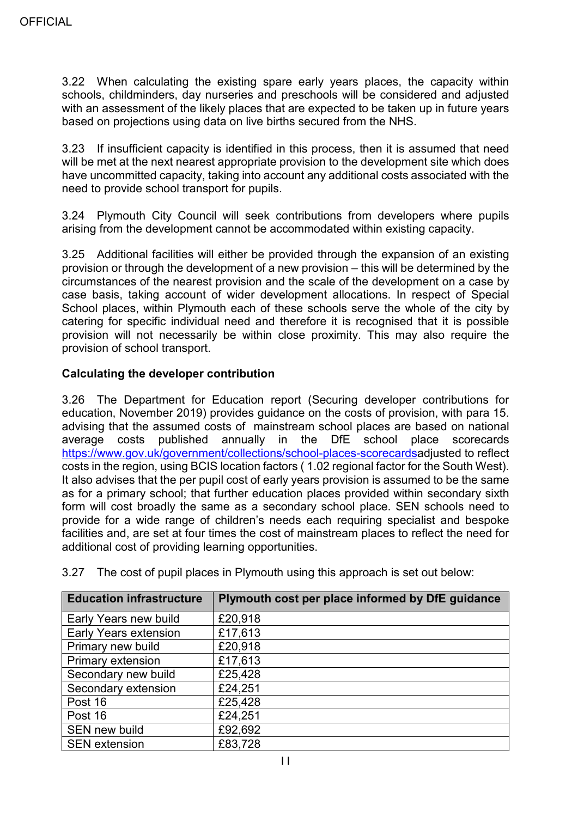3.22 When calculating the existing spare early years places, the capacity within schools, childminders, day nurseries and preschools will be considered and adjusted with an assessment of the likely places that are expected to be taken up in future years based on projections using data on live births secured from the NHS.

3.23 If insufficient capacity is identified in this process, then it is assumed that need will be met at the next nearest appropriate provision to the development site which does have uncommitted capacity, taking into account any additional costs associated with the need to provide school transport for pupils.

3.24 Plymouth City Council will seek contributions from developers where pupils arising from the development cannot be accommodated within existing capacity.

3.25 Additional facilities will either be provided through the expansion of an existing provision or through the development of a new provision – this will be determined by the circumstances of the nearest provision and the scale of the development on a case by case basis, taking account of wider development allocations. In respect of Special School places, within Plymouth each of these schools serve the whole of the city by catering for specific individual need and therefore it is recognised that it is possible provision will not necessarily be within close proximity. This may also require the provision of school transport.

## **Calculating the developer contribution**

3.26 The Department for Education report (Securing developer contributions for education, November 2019) provides guidance on the costs of provision, with para 15. advising that the assumed costs of mainstream school places are based on national average costs published annually in the DfE school place scorecards [https://www.gov.uk/government/collections/school-places-scorecardsa](https://www.gov.uk/government/collections/school-places-scorecards)djusted to reflect costs in the region, using BCIS location factors ( 1.02 regional factor for the South West). It also advises that the per pupil cost of early years provision is assumed to be the same as for a primary school; that further education places provided within secondary sixth form will cost broadly the same as a secondary school place. SEN schools need to provide for a wide range of children's needs each requiring specialist and bespoke facilities and, are set at four times the cost of mainstream places to reflect the need for additional cost of providing learning opportunities.

| <b>Education infrastructure</b> | Plymouth cost per place informed by DfE guidance |
|---------------------------------|--------------------------------------------------|
| Early Years new build           | £20,918                                          |
| <b>Early Years extension</b>    | £17,613                                          |
| Primary new build               | £20,918                                          |
| <b>Primary extension</b>        | £17,613                                          |
| Secondary new build             | £25,428                                          |
| Secondary extension             | £24,251                                          |
| Post 16                         | £25,428                                          |
| Post 16                         | £24,251                                          |
| SEN new build                   | £92,692                                          |
| <b>SEN</b> extension            | £83,728                                          |

3.27 The cost of pupil places in Plymouth using this approach is set out below: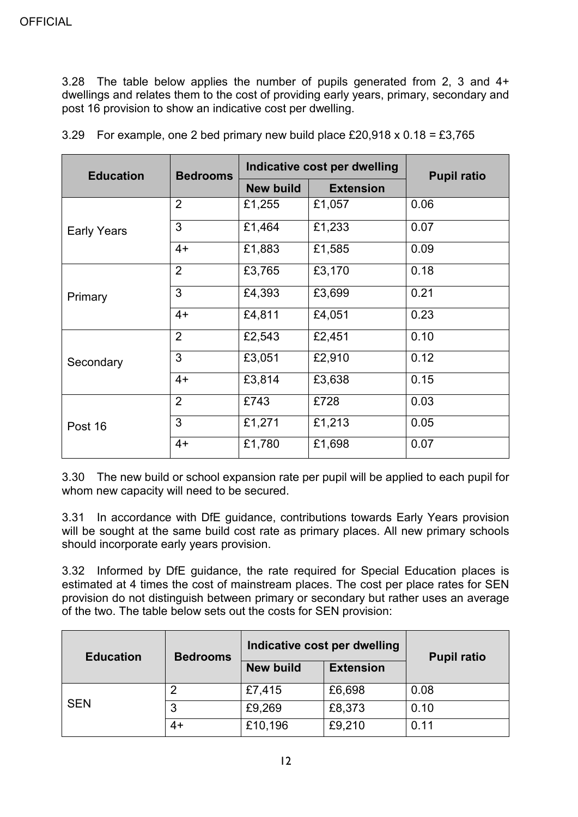3.28 The table below applies the number of pupils generated from 2, 3 and 4+ dwellings and relates them to the cost of providing early years, primary, secondary and post 16 provision to show an indicative cost per dwelling.

| <b>Education</b>   | <b>Bedrooms</b> |                  | Indicative cost per dwelling | <b>Pupil ratio</b> |
|--------------------|-----------------|------------------|------------------------------|--------------------|
|                    |                 | <b>New build</b> | <b>Extension</b>             |                    |
|                    | $\overline{2}$  | £1,255           | £1,057                       | 0.06               |
| <b>Early Years</b> | 3               | £1,464           | £1,233                       | 0.07               |
|                    | $4+$            | £1,883           | £1,585                       | 0.09               |
|                    | $\overline{2}$  | £3,765           | £3,170                       | 0.18               |
| Primary            | 3               | £4,393           | £3,699                       | 0.21               |
|                    | $4+$            | £4,811           | £4,051                       | 0.23               |
|                    | $\overline{2}$  | £2,543           | £2,451                       | 0.10               |
| Secondary          | 3               | £3,051           | £2,910                       | 0.12               |
|                    | $4+$            | £3,814           | £3,638                       | 0.15               |
|                    | $\overline{2}$  | £743             | £728                         | 0.03               |
| Post 16            | 3               | £1,271           | £1,213                       | 0.05               |
|                    | $4+$            | £1,780           | £1,698                       | 0.07               |

3.29 For example, one 2 bed primary new build place £20,918 x 0.18 = £3,765

3.30 The new build or school expansion rate per pupil will be applied to each pupil for whom new capacity will need to be secured.

3.31 In accordance with DfE guidance, contributions towards Early Years provision will be sought at the same build cost rate as primary places. All new primary schools should incorporate early years provision.

3.32 Informed by DfE guidance, the rate required for Special Education places is estimated at 4 times the cost of mainstream places. The cost per place rates for SEN provision do not distinguish between primary or secondary but rather uses an average of the two. The table below sets out the costs for SEN provision:

| <b>Education</b> | <b>Bedrooms</b> | Indicative cost per dwelling | <b>Pupil ratio</b> |      |
|------------------|-----------------|------------------------------|--------------------|------|
|                  |                 | <b>New build</b>             | <b>Extension</b>   |      |
|                  | 2               | £7,415                       | £6,698             | 0.08 |
| <b>SEN</b>       | 3               | £9,269                       | £8,373             | 0.10 |
|                  | $4+$            | £10,196                      | £9,210             | 0.11 |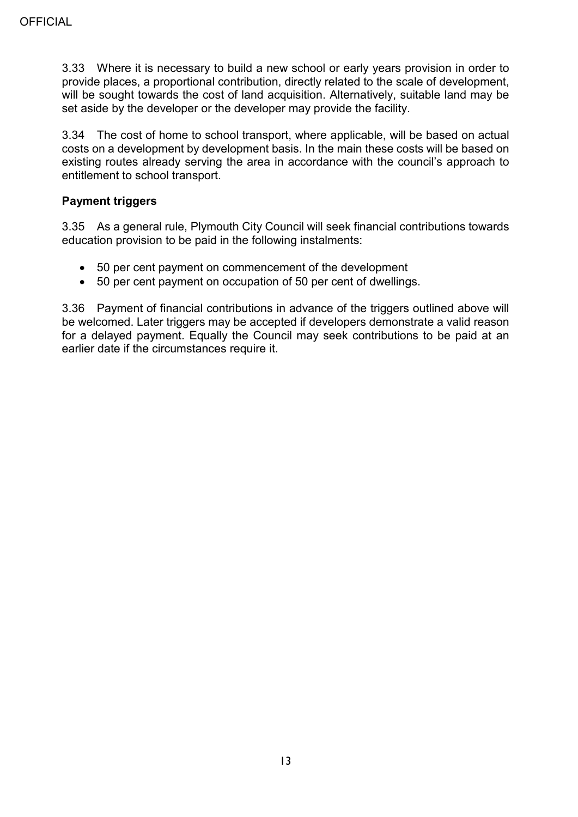3.33 Where it is necessary to build a new school or early years provision in order to provide places, a proportional contribution, directly related to the scale of development, will be sought towards the cost of land acquisition. Alternatively, suitable land may be set aside by the developer or the developer may provide the facility.

3.34 The cost of home to school transport, where applicable, will be based on actual costs on a development by development basis. In the main these costs will be based on existing routes already serving the area in accordance with the council's approach to entitlement to school transport.

#### **Payment triggers**

3.35 As a general rule, Plymouth City Council will seek financial contributions towards education provision to be paid in the following instalments:

- 50 per cent payment on commencement of the development
- 50 per cent payment on occupation of 50 per cent of dwellings.

3.36 Payment of financial contributions in advance of the triggers outlined above will be welcomed. Later triggers may be accepted if developers demonstrate a valid reason for a delayed payment. Equally the Council may seek contributions to be paid at an earlier date if the circumstances require it.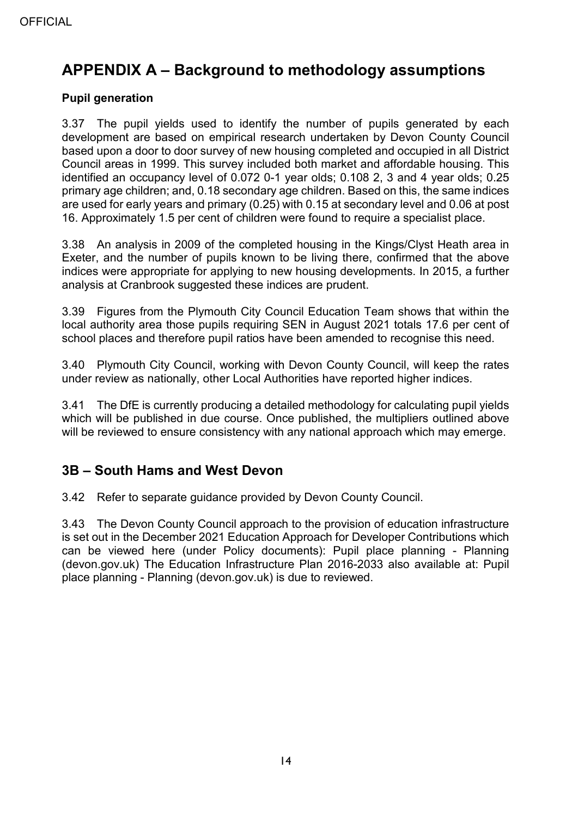# <span id="page-13-0"></span>**APPENDIX A – Background to methodology assumptions**

### **Pupil generation**

3.37 The pupil yields used to identify the number of pupils generated by each development are based on empirical research undertaken by Devon County Council based upon a door to door survey of new housing completed and occupied in all District Council areas in 1999. This survey included both market and affordable housing. This identified an occupancy level of 0.072 0-1 year olds; 0.108 2, 3 and 4 year olds; 0.25 primary age children; and, 0.18 secondary age children. Based on this, the same indices are used for early years and primary (0.25) with 0.15 at secondary level and 0.06 at post 16. Approximately 1.5 per cent of children were found to require a specialist place.

3.38 An analysis in 2009 of the completed housing in the Kings/Clyst Heath area in Exeter, and the number of pupils known to be living there, confirmed that the above indices were appropriate for applying to new housing developments. In 2015, a further analysis at Cranbrook suggested these indices are prudent.

3.39 Figures from the Plymouth City Council Education Team shows that within the local authority area those pupils requiring SEN in August 2021 totals 17.6 per cent of school places and therefore pupil ratios have been amended to recognise this need.

3.40 Plymouth City Council, working with Devon County Council, will keep the rates under review as nationally, other Local Authorities have reported higher indices.

3.41 The DfE is currently producing a detailed methodology for calculating pupil yields which will be published in due course. Once published, the multipliers outlined above will be reviewed to ensure consistency with any national approach which may emerge.

## <span id="page-13-1"></span>**3B – South Hams and West Devon**

3.42 Refer to separate guidance provided by Devon County Council.

3.43 The Devon County Council approach to the provision of education infrastructure is set out in the December 2021 Education Approach for Developer Contributions which can be viewed here (under Policy documents): Pupil place planning - Planning (devon.gov.uk) The Education Infrastructure Plan 2016-2033 also available at: Pupil place planning - Planning (devon.gov.uk) is due to reviewed.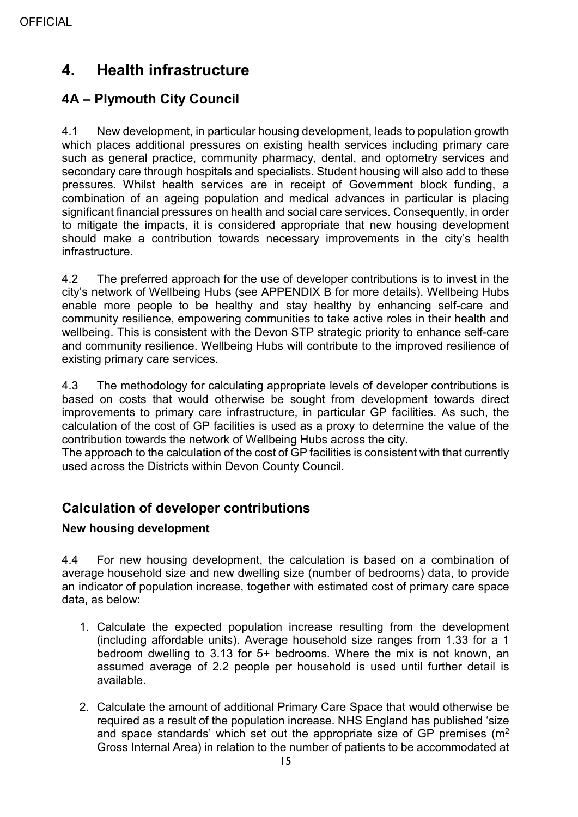# <span id="page-14-0"></span>**4. Health infrastructure**

## <span id="page-14-1"></span>**4A – Plymouth City Council**

4.1 New development, in particular housing development, leads to population growth which places additional pressures on existing health services including primary care such as general practice, community pharmacy, dental, and optometry services and secondary care through hospitals and specialists. Student housing will also add to these pressures. Whilst health services are in receipt of Government block funding, a combination of an ageing population and medical advances in particular is placing significant financial pressures on health and social care services. Consequently, in order to mitigate the impacts, it is considered appropriate that new housing development should make a contribution towards necessary improvements in the city's health infrastructure.

4.2 The preferred approach for the use of developer contributions is to invest in the city's network of Wellbeing Hubs (see APPENDIX B for more details). Wellbeing Hubs enable more people to be healthy and stay healthy by enhancing self-care and community resilience, empowering communities to take active roles in their health and wellbeing. This is consistent with the Devon STP strategic priority to enhance self-care and community resilience. Wellbeing Hubs will contribute to the improved resilience of existing primary care services.

4.3 The methodology for calculating appropriate levels of developer contributions is based on costs that would otherwise be sought from development towards direct improvements to primary care infrastructure, in particular GP facilities. As such, the calculation of the cost of GP facilities is used as a proxy to determine the value of the contribution towards the network of Wellbeing Hubs across the city.

The approach to the calculation of the cost of GP facilities is consistent with that currently used across the Districts within Devon County Council.

## **Calculation of developer contributions**

## **New housing development**

4.4 For new housing development, the calculation is based on a combination of average household size and new dwelling size (number of bedrooms) data, to provide an indicator of population increase, together with estimated cost of primary care space data, as below:

- 1. Calculate the expected population increase resulting from the development (including affordable units). Average household size ranges from 1.33 for a 1 bedroom dwelling to 3.13 for 5+ bedrooms. Where the mix is not known, an assumed average of 2.2 people per household is used until further detail is available.
- 2. Calculate the amount of additional Primary Care Space that would otherwise be required as a result of the population increase. NHS England has published 'size and space standards' which set out the appropriate size of GP premises  $(m<sup>2</sup>)$ Gross Internal Area) in relation to the number of patients to be accommodated at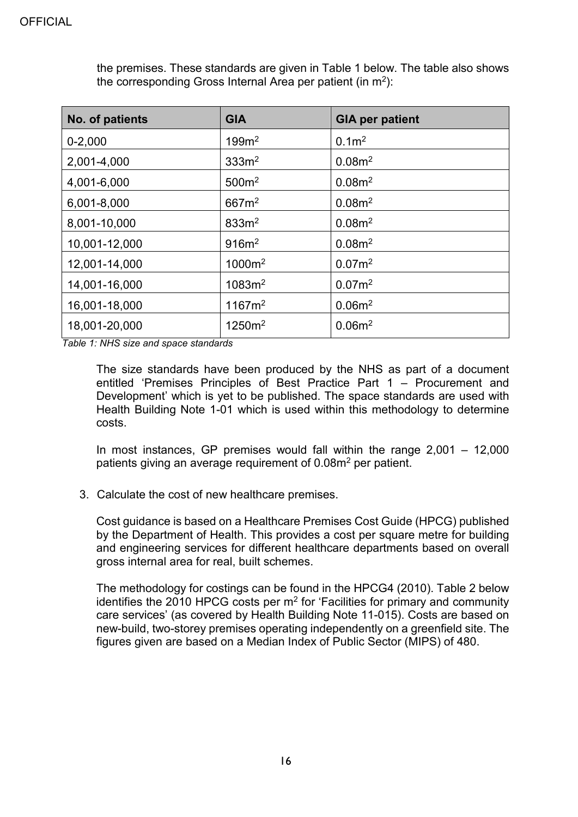| No. of patients | <b>GIA</b>         | <b>GIA per patient</b> |
|-----------------|--------------------|------------------------|
| $0 - 2,000$     | 199m <sup>2</sup>  | 0.1 <sup>m²</sup>      |
| 2,001-4,000     | 333m <sup>2</sup>  | 0.08m <sup>2</sup>     |
| 4,001-6,000     | 500m <sup>2</sup>  | 0.08m <sup>2</sup>     |
| 6,001-8,000     | 667m <sup>2</sup>  | 0.08m <sup>2</sup>     |
| 8,001-10,000    | 833m <sup>2</sup>  | 0.08m <sup>2</sup>     |
| 10,001-12,000   | 916m <sup>2</sup>  | 0.08m <sup>2</sup>     |
| 12,001-14,000   | 1000m <sup>2</sup> | 0.07 <sup>2</sup>      |
| 14,001-16,000   | 1083m <sup>2</sup> | 0.07m <sup>2</sup>     |
| 16,001-18,000   | 1167m <sup>2</sup> | 0.06m <sup>2</sup>     |
| 18,001-20,000   | 1250m <sup>2</sup> | 0.06m <sup>2</sup>     |

the premises. These standards are given in Table 1 below. The table also shows the corresponding Gross Internal Area per patient (in  $m^2$ ):

*Table 1: NHS size and space standards*

The size standards have been produced by the NHS as part of a document entitled 'Premises Principles of Best Practice Part 1 – Procurement and Development' which is yet to be published. The space standards are used with Health Building Note 1-01 which is used within this methodology to determine costs.

In most instances, GP premises would fall within the range 2,001 – 12,000 patients giving an average requirement of 0.08m2 per patient.

3. Calculate the cost of new healthcare premises.

Cost guidance is based on a Healthcare Premises Cost Guide (HPCG) published by the Department of Health. This provides a cost per square metre for building and engineering services for different healthcare departments based on overall gross internal area for real, built schemes.

The methodology for costings can be found in the HPCG4 (2010). Table 2 below identifies the 2010 HPCG costs per  $m<sup>2</sup>$  for 'Facilities for primary and community care services' (as covered by Health Building Note 11-015). Costs are based on new-build, two-storey premises operating independently on a greenfield site. The figures given are based on a Median Index of Public Sector (MIPS) of 480.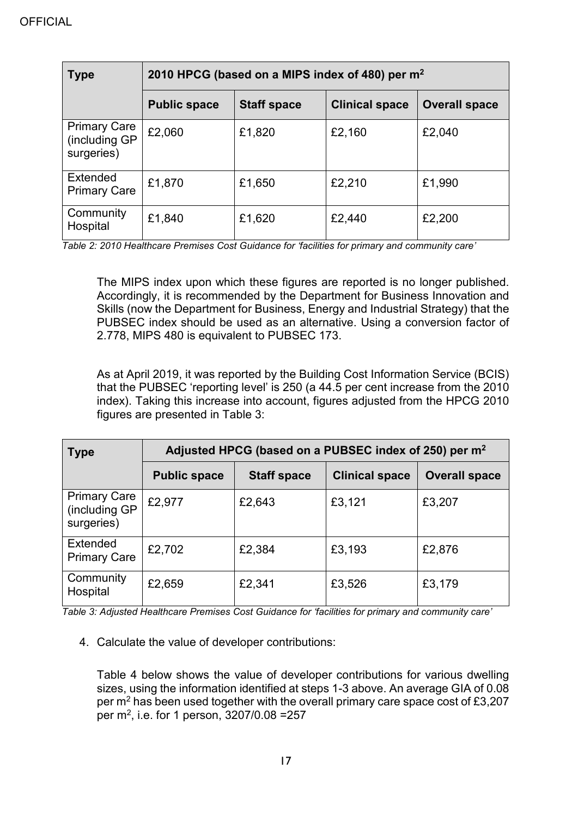| <b>Type</b>                                        | 2010 HPCG (based on a MIPS index of 480) per m <sup>2</sup> |                    |                       |                      |  |
|----------------------------------------------------|-------------------------------------------------------------|--------------------|-----------------------|----------------------|--|
|                                                    | <b>Public space</b>                                         | <b>Staff space</b> | <b>Clinical space</b> | <b>Overall space</b> |  |
| <b>Primary Care</b><br>(including GP<br>surgeries) | £2,060                                                      | £1,820             | £2,160                | £2,040               |  |
| Extended<br><b>Primary Care</b>                    | £1,870                                                      | £1,650             | £2,210                | £1,990               |  |
| Community<br>Hospital                              | £1,840                                                      | £1,620             | £2,440                | £2,200               |  |

*Table 2: 2010 Healthcare Premises Cost Guidance for 'facilities for primary and community care'*

The MIPS index upon which these figures are reported is no longer published. Accordingly, it is recommended by the Department for Business Innovation and Skills (now the Department for Business, Energy and Industrial Strategy) that the PUBSEC index should be used as an alternative. Using a conversion factor of 2.778, MIPS 480 is equivalent to PUBSEC 173.

As at April 2019, it was reported by the Building Cost Information Service (BCIS) that the PUBSEC 'reporting level' is 250 (a 44.5 per cent increase from the 2010 index). Taking this increase into account, figures adjusted from the HPCG 2010 figures are presented in Table 3:

| <b>Type</b>                                        | Adjusted HPCG (based on a PUBSEC index of 250) per m <sup>2</sup> |                    |                       |                      |  |  |
|----------------------------------------------------|-------------------------------------------------------------------|--------------------|-----------------------|----------------------|--|--|
|                                                    | <b>Public space</b>                                               | <b>Staff space</b> | <b>Clinical space</b> | <b>Overall space</b> |  |  |
| <b>Primary Care</b><br>(including GP<br>surgeries) | £2,977                                                            | £2,643             | £3,121                | £3,207               |  |  |
| Extended<br><b>Primary Care</b>                    | £2,702                                                            | £2,384             | £3,193                | £2,876               |  |  |
| Community<br>Hospital                              | £2,659                                                            | £2,341             | £3,526                | £3,179               |  |  |

*Table 3: Adjusted Healthcare Premises Cost Guidance for 'facilities for primary and community care'*

4. Calculate the value of developer contributions:

Table 4 below shows the value of developer contributions for various dwelling sizes, using the information identified at steps 1-3 above. An average GIA of 0.08 per m2 has been used together with the overall primary care space cost of £3,207 per m2, i.e. for 1 person, 3207/0.08 =257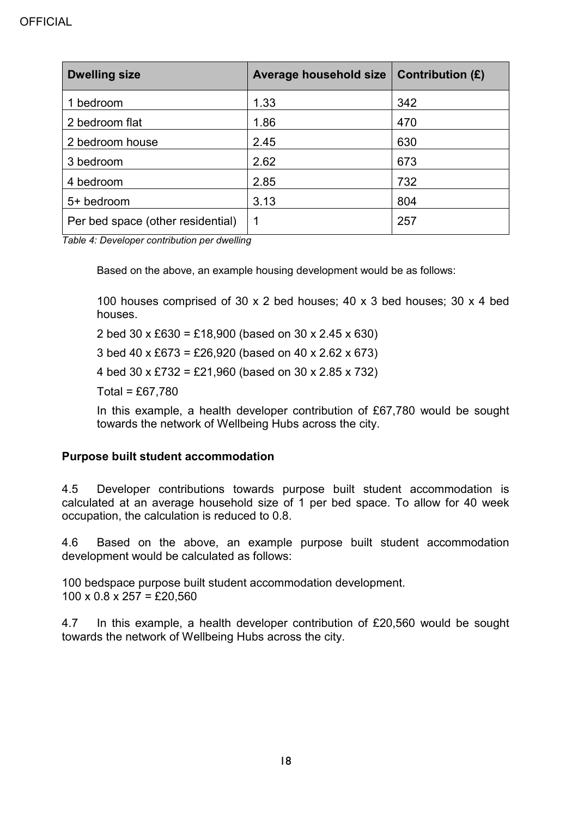| <b>Dwelling size</b>              | Average household size | Contribution $(E)$ |
|-----------------------------------|------------------------|--------------------|
| bedroom                           | 1.33                   | 342                |
| 2 bedroom flat                    | 1.86                   | 470                |
| 2 bedroom house                   | 2.45                   | 630                |
| 3 bedroom                         | 2.62                   | 673                |
| 4 bedroom                         | 2.85                   | 732                |
| 5+ bedroom                        | 3.13                   | 804                |
| Per bed space (other residential) | 1                      | 257                |

*Table 4: Developer contribution per dwelling*

Based on the above, an example housing development would be as follows:

100 houses comprised of 30 x 2 bed houses; 40 x 3 bed houses; 30 x 4 bed houses.

2 bed 30 x £630 = £18,900 (based on 30 x 2.45 x 630)

3 bed 40 x £673 = £26,920 (based on 40 x 2.62 x 673)

4 bed 30 x £732 = £21,960 (based on 30 x 2.85 x 732)

 $Total = £67.780$ 

In this example, a health developer contribution of £67,780 would be sought towards the network of Wellbeing Hubs across the city.

#### **Purpose built student accommodation**

4.5 Developer contributions towards purpose built student accommodation is calculated at an average household size of 1 per bed space. To allow for 40 week occupation, the calculation is reduced to 0.8.

4.6 Based on the above, an example purpose built student accommodation development would be calculated as follows:

100 bedspace purpose built student accommodation development.  $100 \times 0.8 \times 257 = \text{\pounds}20,560$ 

4.7 In this example, a health developer contribution of £20,560 would be sought towards the network of Wellbeing Hubs across the city.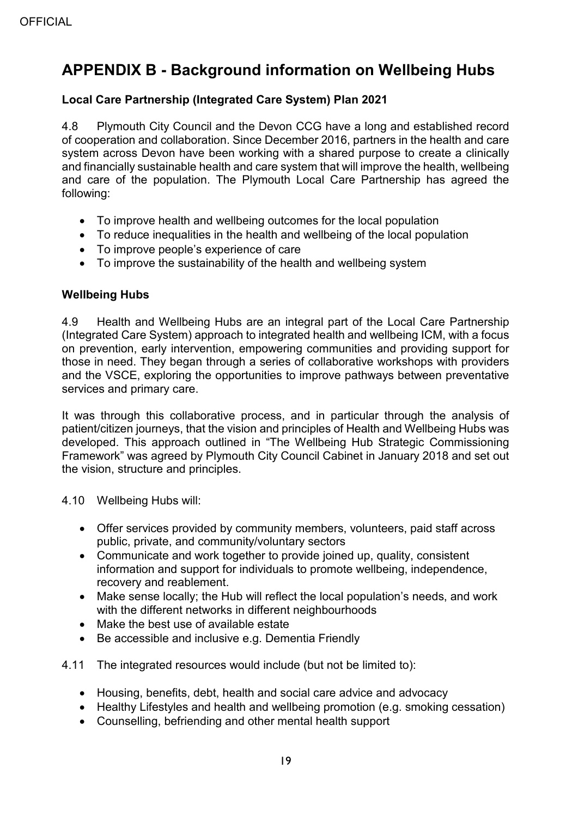# <span id="page-18-0"></span>**APPENDIX B - Background information on Wellbeing Hubs**

## **Local Care Partnership (Integrated Care System) Plan 2021**

4.8 Plymouth City Council and the Devon CCG have a long and established record of cooperation and collaboration. Since December 2016, partners in the health and care system across Devon have been working with a shared purpose to create a clinically and financially sustainable health and care system that will improve the health, wellbeing and care of the population. The Plymouth Local Care Partnership has agreed the following:

- To improve health and wellbeing outcomes for the local population
- To reduce inequalities in the health and wellbeing of the local population
- To improve people's experience of care
- To improve the sustainability of the health and wellbeing system

#### **Wellbeing Hubs**

4.9 Health and Wellbeing Hubs are an integral part of the Local Care Partnership (Integrated Care System) approach to integrated health and wellbeing ICM, with a focus on prevention, early intervention, empowering communities and providing support for those in need. They began through a series of collaborative workshops with providers and the VSCE, exploring the opportunities to improve pathways between preventative services and primary care.

It was through this collaborative process, and in particular through the analysis of patient/citizen journeys, that the vision and principles of Health and Wellbeing Hubs was developed. This approach outlined in "The Wellbeing Hub Strategic Commissioning Framework" was agreed by Plymouth City Council Cabinet in January 2018 and set out the vision, structure and principles.

4.10 Wellbeing Hubs will:

- Offer services provided by community members, volunteers, paid staff across public, private, and community/voluntary sectors
- Communicate and work together to provide joined up, quality, consistent information and support for individuals to promote wellbeing, independence, recovery and reablement.
- Make sense locally; the Hub will reflect the local population's needs, and work with the different networks in different neighbourhoods
- Make the best use of available estate
- Be accessible and inclusive e.g. Dementia Friendly
- 4.11 The integrated resources would include (but not be limited to):
	- Housing, benefits, debt, health and social care advice and advocacy
	- Healthy Lifestyles and health and wellbeing promotion (e.g. smoking cessation)
	- Counselling, befriending and other mental health support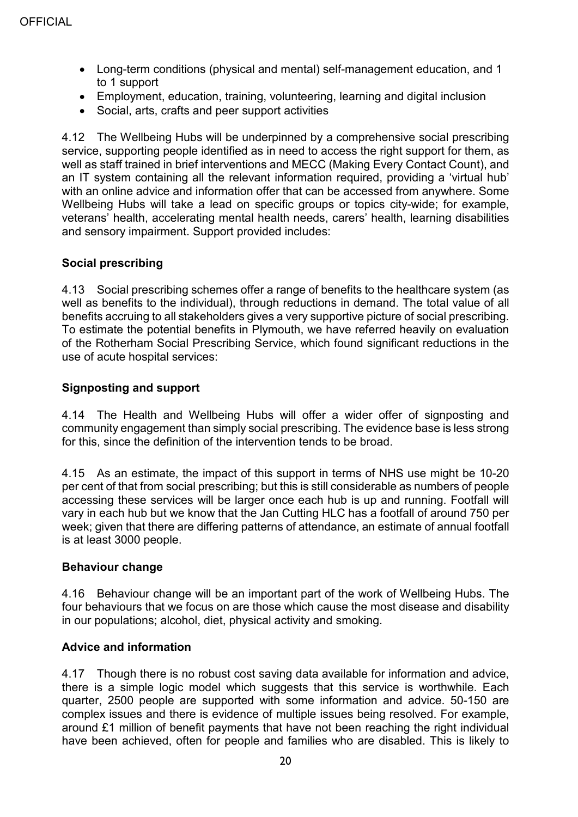- Long-term conditions (physical and mental) self-management education, and 1 to 1 support
- Employment, education, training, volunteering, learning and digital inclusion
- Social, arts, crafts and peer support activities

4.12 The Wellbeing Hubs will be underpinned by a comprehensive social prescribing service, supporting people identified as in need to access the right support for them, as well as staff trained in brief interventions and MECC (Making Every Contact Count), and an IT system containing all the relevant information required, providing a 'virtual hub' with an online advice and information offer that can be accessed from anywhere. Some Wellbeing Hubs will take a lead on specific groups or topics city-wide; for example, veterans' health, accelerating mental health needs, carers' health, learning disabilities and sensory impairment. Support provided includes:

## **Social prescribing**

4.13 Social prescribing schemes offer a range of benefits to the healthcare system (as well as benefits to the individual), through reductions in demand. The total value of all benefits accruing to all stakeholders gives a very supportive picture of social prescribing. To estimate the potential benefits in Plymouth, we have referred heavily on evaluation of the Rotherham Social Prescribing Service, which found significant reductions in the use of acute hospital services:

## **Signposting and support**

4.14 The Health and Wellbeing Hubs will offer a wider offer of signposting and community engagement than simply social prescribing. The evidence base is less strong for this, since the definition of the intervention tends to be broad.

4.15 As an estimate, the impact of this support in terms of NHS use might be 10-20 per cent of that from social prescribing; but this is still considerable as numbers of people accessing these services will be larger once each hub is up and running. Footfall will vary in each hub but we know that the Jan Cutting HLC has a footfall of around 750 per week; given that there are differing patterns of attendance, an estimate of annual footfall is at least 3000 people.

## **Behaviour change**

4.16 Behaviour change will be an important part of the work of Wellbeing Hubs. The four behaviours that we focus on are those which cause the most disease and disability in our populations; alcohol, diet, physical activity and smoking.

## **Advice and information**

4.17 Though there is no robust cost saving data available for information and advice, there is a simple logic model which suggests that this service is worthwhile. Each quarter, 2500 people are supported with some information and advice. 50-150 are complex issues and there is evidence of multiple issues being resolved. For example, around £1 million of benefit payments that have not been reaching the right individual have been achieved, often for people and families who are disabled. This is likely to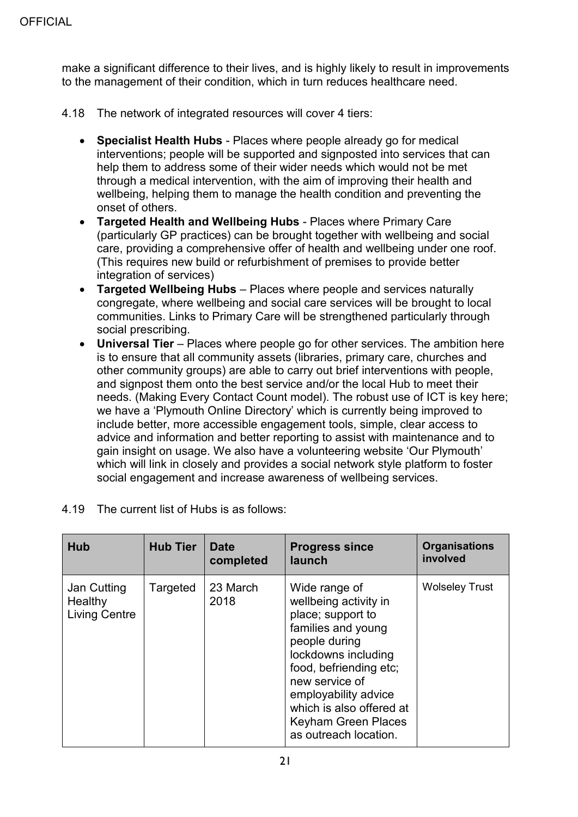make a significant difference to their lives, and is highly likely to result in improvements to the management of their condition, which in turn reduces healthcare need.

- 4.18 The network of integrated resources will cover 4 tiers:
	- **Specialist Health Hubs** Places where people already go for medical interventions; people will be supported and signposted into services that can help them to address some of their wider needs which would not be met through a medical intervention, with the aim of improving their health and wellbeing, helping them to manage the health condition and preventing the onset of others.
	- **Targeted Health and Wellbeing Hubs** Places where Primary Care (particularly GP practices) can be brought together with wellbeing and social care, providing a comprehensive offer of health and wellbeing under one roof. (This requires new build or refurbishment of premises to provide better integration of services)
	- **Targeted Wellbeing Hubs** Places where people and services naturally congregate, where wellbeing and social care services will be brought to local communities. Links to Primary Care will be strengthened particularly through social prescribing.
	- **Universal Tier** Places where people go for other services. The ambition here is to ensure that all community assets (libraries, primary care, churches and other community groups) are able to carry out brief interventions with people, and signpost them onto the best service and/or the local Hub to meet their needs. (Making Every Contact Count model). The robust use of ICT is key here; we have a 'Plymouth Online Directory' which is currently being improved to include better, more accessible engagement tools, simple, clear access to advice and information and better reporting to assist with maintenance and to gain insight on usage. We also have a volunteering website 'Our Plymouth' which will link in closely and provides a social network style platform to foster social engagement and increase awareness of wellbeing services.

| Hub                                            | <b>Hub Tier</b> | <b>Date</b><br>completed | <b>Progress since</b><br>launch                                                                                                                                                                                                                                                  | <b>Organisations</b><br>involved |
|------------------------------------------------|-----------------|--------------------------|----------------------------------------------------------------------------------------------------------------------------------------------------------------------------------------------------------------------------------------------------------------------------------|----------------------------------|
| Jan Cutting<br>Healthy<br><b>Living Centre</b> | Targeted        | 23 March<br>2018         | Wide range of<br>wellbeing activity in<br>place; support to<br>families and young<br>people during<br>lockdowns including<br>food, befriending etc;<br>new service of<br>employability advice<br>which is also offered at<br><b>Keyham Green Places</b><br>as outreach location. | <b>Wolseley Trust</b>            |

4.19 The current list of Hubs is as follows: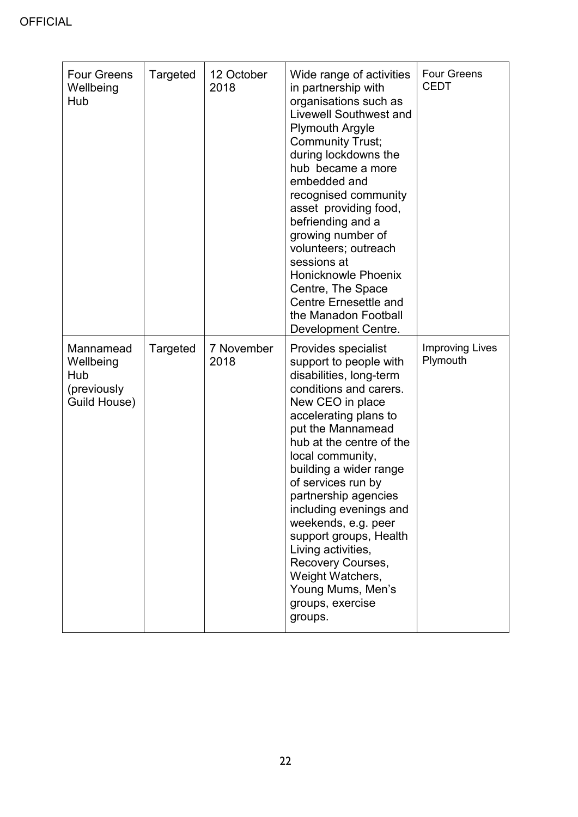| <b>Four Greens</b><br>Wellbeing<br>Hub                       | Targeted | 12 October<br>2018 | Wide range of activities<br>in partnership with<br>organisations such as<br>Livewell Southwest and<br><b>Plymouth Argyle</b><br><b>Community Trust;</b><br>during lockdowns the<br>hub became a more<br>embedded and<br>recognised community<br>asset providing food,<br>befriending and a<br>growing number of<br>volunteers; outreach<br>sessions at<br>Honicknowle Phoenix<br>Centre, The Space<br><b>Centre Ernesettle and</b><br>the Manadon Football<br>Development Centre.          | <b>Four Greens</b><br><b>CEDT</b>  |
|--------------------------------------------------------------|----------|--------------------|--------------------------------------------------------------------------------------------------------------------------------------------------------------------------------------------------------------------------------------------------------------------------------------------------------------------------------------------------------------------------------------------------------------------------------------------------------------------------------------------|------------------------------------|
| Mannamead<br>Wellbeing<br>Hub<br>(previously<br>Guild House) | Targeted | 7 November<br>2018 | Provides specialist<br>support to people with<br>disabilities, long-term<br>conditions and carers.<br>New CEO in place<br>accelerating plans to<br>put the Mannamead<br>hub at the centre of the<br>local community,<br>building a wider range<br>of services run by<br>partnership agencies<br>including evenings and<br>weekends, e.g. peer<br>support groups, Health<br>Living activities,<br>Recovery Courses,<br>Weight Watchers,<br>Young Mums, Men's<br>groups, exercise<br>groups. | <b>Improving Lives</b><br>Plymouth |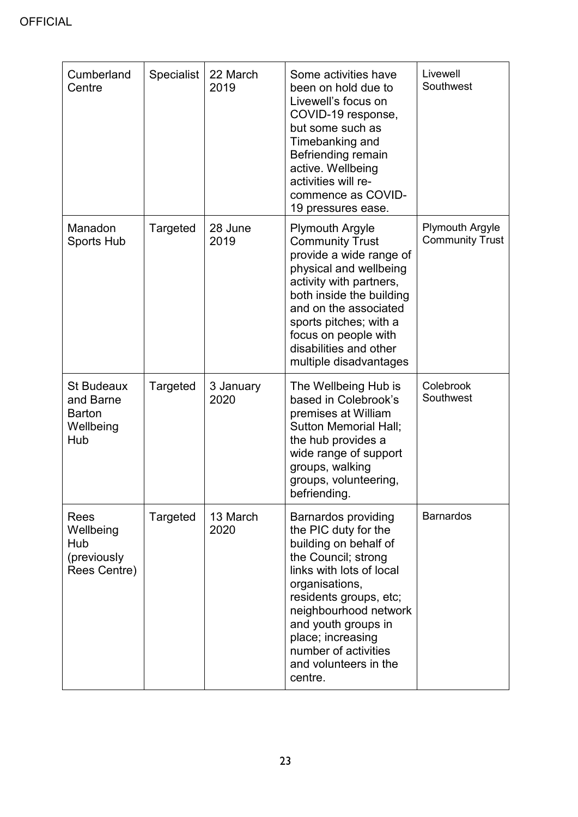| Cumberland<br>Centre                                                | Specialist | 22 March<br>2019  | Some activities have<br>been on hold due to<br>Livewell's focus on<br>COVID-19 response,<br>but some such as<br>Timebanking and<br>Befriending remain<br>active. Wellbeing<br>activities will re-<br>commence as COVID-<br>19 pressures ease.                                                               | Livewell<br>Southwest                            |
|---------------------------------------------------------------------|------------|-------------------|-------------------------------------------------------------------------------------------------------------------------------------------------------------------------------------------------------------------------------------------------------------------------------------------------------------|--------------------------------------------------|
| Manadon<br><b>Sports Hub</b>                                        | Targeted   | 28 June<br>2019   | <b>Plymouth Argyle</b><br><b>Community Trust</b><br>provide a wide range of<br>physical and wellbeing<br>activity with partners,<br>both inside the building<br>and on the associated<br>sports pitches; with a<br>focus on people with<br>disabilities and other<br>multiple disadvantages                 | <b>Plymouth Argyle</b><br><b>Community Trust</b> |
| <b>St Budeaux</b><br>and Barne<br><b>Barton</b><br>Wellbeing<br>Hub | Targeted   | 3 January<br>2020 | The Wellbeing Hub is<br>based in Colebrook's<br>premises at William<br><b>Sutton Memorial Hall;</b><br>the hub provides a<br>wide range of support<br>groups, walking<br>groups, volunteering,<br>befriending.                                                                                              | Colebrook<br>Southwest                           |
| Rees<br>Wellbeing<br>Hub<br>(previously<br>Rees Centre)             | Targeted   | 13 March<br>2020  | <b>Barnardos providing</b><br>the PIC duty for the<br>building on behalf of<br>the Council; strong<br>links with lots of local<br>organisations,<br>residents groups, etc;<br>neighbourhood network<br>and youth groups in<br>place; increasing<br>number of activities<br>and volunteers in the<br>centre. | <b>Barnardos</b>                                 |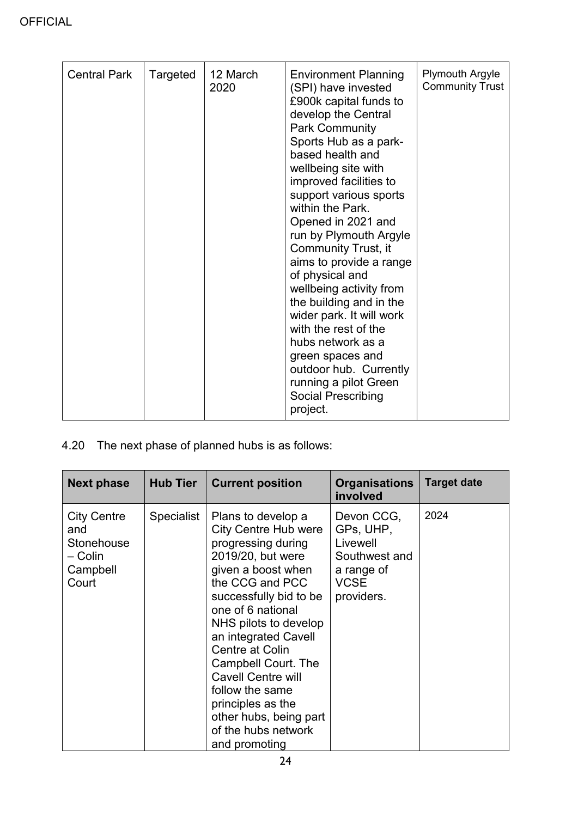| <b>Central Park</b> | Targeted | 12 March<br>2020 | <b>Environment Planning</b><br>(SPI) have invested<br>£900k capital funds to<br>develop the Central<br><b>Park Community</b><br>Sports Hub as a park-<br>based health and<br>wellbeing site with<br>improved facilities to<br>support various sports<br>within the Park.<br>Opened in 2021 and<br>run by Plymouth Argyle<br>Community Trust, it<br>aims to provide a range<br>of physical and<br>wellbeing activity from<br>the building and in the<br>wider park. It will work<br>with the rest of the<br>hubs network as a<br>green spaces and<br>outdoor hub. Currently<br>running a pilot Green<br><b>Social Prescribing</b> | <b>Plymouth Argyle</b><br><b>Community Trust</b> |
|---------------------|----------|------------------|----------------------------------------------------------------------------------------------------------------------------------------------------------------------------------------------------------------------------------------------------------------------------------------------------------------------------------------------------------------------------------------------------------------------------------------------------------------------------------------------------------------------------------------------------------------------------------------------------------------------------------|--------------------------------------------------|
|                     |          |                  | project.                                                                                                                                                                                                                                                                                                                                                                                                                                                                                                                                                                                                                         |                                                  |

4.20 The next phase of planned hubs is as follows:

| <b>Next phase</b>                                                       | <b>Hub Tier</b> | <b>Current position</b>                                                                                                                                                                                                                                                                                                                                                                                                       | <b>Organisations</b><br>involved                                                                | <b>Target date</b> |
|-------------------------------------------------------------------------|-----------------|-------------------------------------------------------------------------------------------------------------------------------------------------------------------------------------------------------------------------------------------------------------------------------------------------------------------------------------------------------------------------------------------------------------------------------|-------------------------------------------------------------------------------------------------|--------------------|
| <b>City Centre</b><br>and<br>Stonehouse<br>– Colin<br>Campbell<br>Court | Specialist      | Plans to develop a<br><b>City Centre Hub were</b><br>progressing during<br>2019/20, but were<br>given a boost when<br>the CCG and PCC<br>successfully bid to be<br>one of 6 national<br>NHS pilots to develop<br>an integrated Cavell<br><b>Centre at Colin</b><br>Campbell Court. The<br><b>Cavell Centre will</b><br>follow the same<br>principles as the<br>other hubs, being part<br>of the hubs network<br>and promoting | Devon CCG,<br>GPs, UHP,<br>Livewell<br>Southwest and<br>a range of<br><b>VCSE</b><br>providers. | 2024               |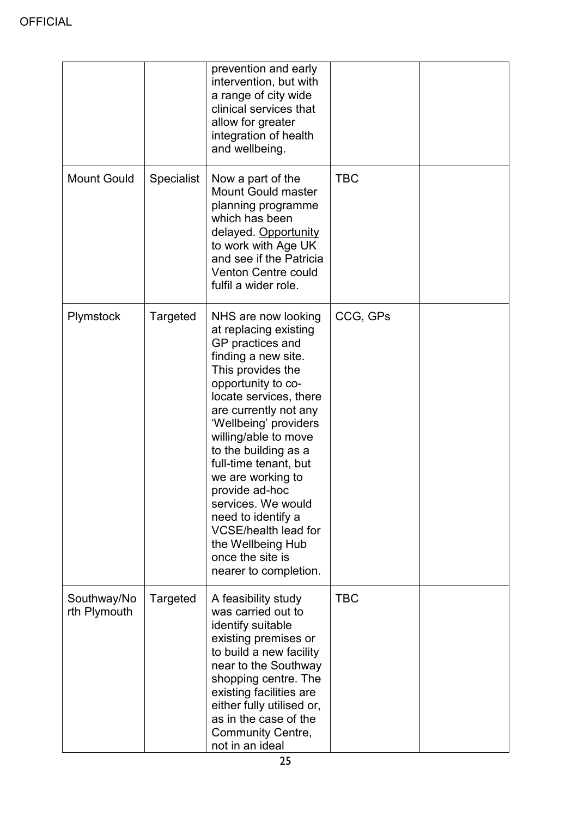| <b>Mount Gould</b>          | <b>Specialist</b> | prevention and early<br>intervention, but with<br>a range of city wide<br>clinical services that<br>allow for greater<br>integration of health<br>and wellbeing.<br>Now a part of the<br><b>Mount Gould master</b><br>planning programme<br>which has been<br>delayed. Opportunity<br>to work with Age UK<br>and see if the Patricia<br>Venton Centre could<br>fulfil a wider role.                                                                                         | <b>TBC</b> |  |
|-----------------------------|-------------------|-----------------------------------------------------------------------------------------------------------------------------------------------------------------------------------------------------------------------------------------------------------------------------------------------------------------------------------------------------------------------------------------------------------------------------------------------------------------------------|------------|--|
| Plymstock                   | Targeted          | NHS are now looking<br>at replacing existing<br>GP practices and<br>finding a new site.<br>This provides the<br>opportunity to co-<br>locate services, there<br>are currently not any<br>'Wellbeing' providers<br>willing/able to move<br>to the building as a<br>full-time tenant, but<br>we are working to<br>provide ad-hoc<br>services. We would<br>need to identify a<br><b>VCSE/health lead for</b><br>the Wellbeing Hub<br>once the site is<br>nearer to completion. | CCG, GPs   |  |
| Southway/No<br>rth Plymouth | Targeted          | A feasibility study<br>was carried out to<br>identify suitable<br>existing premises or<br>to build a new facility<br>near to the Southway<br>shopping centre. The<br>existing facilities are<br>either fully utilised or,<br>as in the case of the<br><b>Community Centre,</b><br>not in an ideal                                                                                                                                                                           | <b>TBC</b> |  |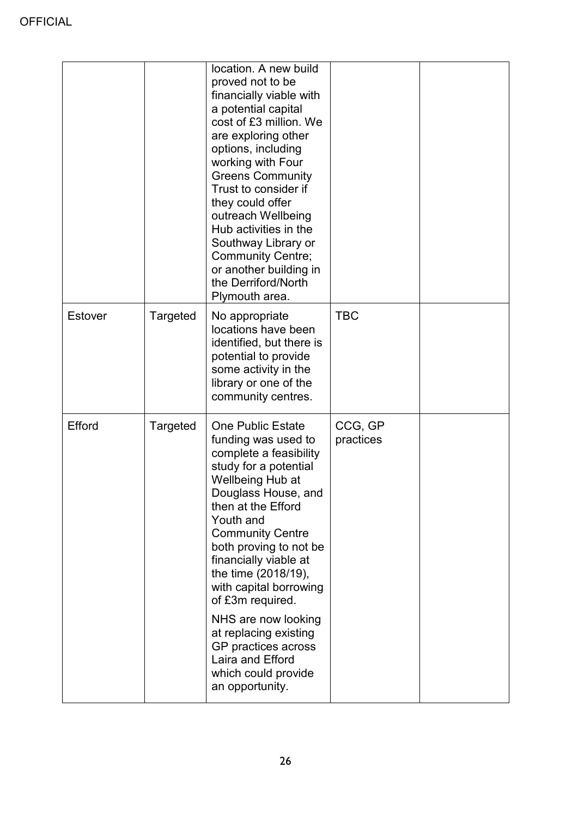|         |          | location. A new build<br>proved not to be<br>financially viable with<br>a potential capital<br>cost of £3 million. We<br>are exploring other<br>options, including<br>working with Four<br><b>Greens Community</b><br>Trust to consider if<br>they could offer<br>outreach Wellbeing<br>Hub activities in the<br>Southway Library or<br><b>Community Centre;</b><br>or another building in<br>the Derriford/North<br>Plymouth area.                                      |                      |  |
|---------|----------|--------------------------------------------------------------------------------------------------------------------------------------------------------------------------------------------------------------------------------------------------------------------------------------------------------------------------------------------------------------------------------------------------------------------------------------------------------------------------|----------------------|--|
| Estover | Targeted | No appropriate<br>locations have been<br>identified, but there is<br>potential to provide<br>some activity in the<br>library or one of the<br>community centres.                                                                                                                                                                                                                                                                                                         | <b>TBC</b>           |  |
| Efford  | Targeted | <b>One Public Estate</b><br>funding was used to<br>complete a feasibility<br>study for a potential<br>Wellbeing Hub at<br>Douglass House, and<br>then at the Efford<br>Youth and<br><b>Community Centre</b><br>both proving to not be<br>financially viable at<br>the time (2018/19),<br>with capital borrowing<br>of £3m required.<br>NHS are now looking<br>at replacing existing<br>GP practices across<br>Laira and Efford<br>which could provide<br>an opportunity. | CCG, GP<br>practices |  |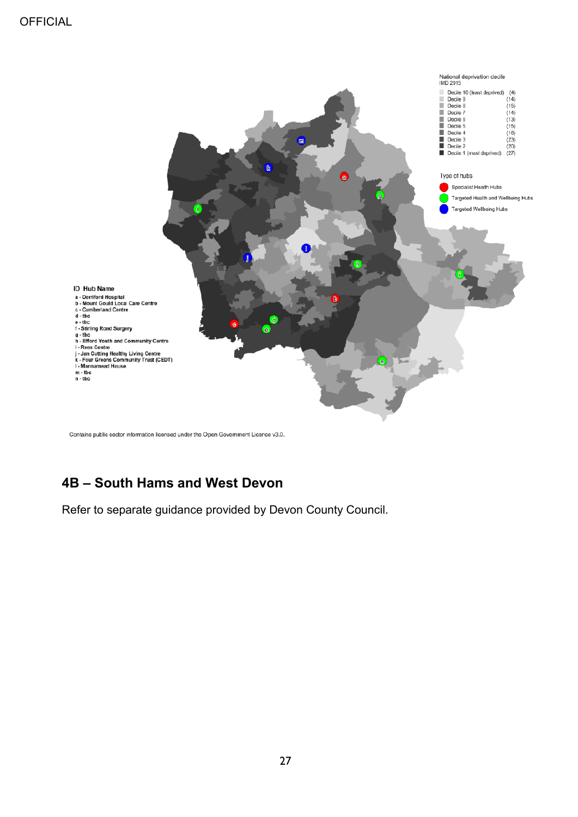

Contains public sector information licensed under the Open Government Licence v3.0.

## <span id="page-26-0"></span>**4B – South Hams and West Devon**

<span id="page-26-1"></span>Refer to separate guidance provided by Devon County Council.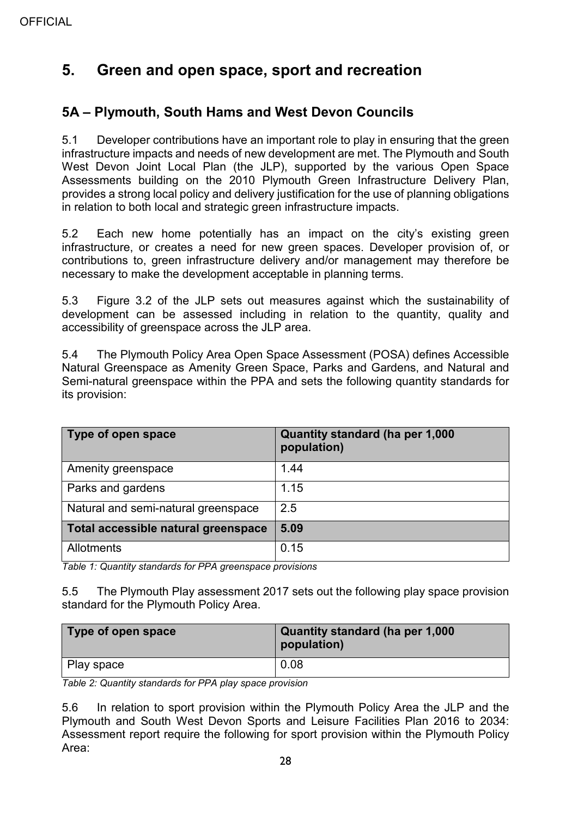# **5. Green and open space, sport and recreation**

## <span id="page-27-0"></span>**5A – Plymouth, South Hams and West Devon Councils**

5.1 Developer contributions have an important role to play in ensuring that the green infrastructure impacts and needs of new development are met. The Plymouth and South West Devon Joint Local Plan (the JLP), supported by the various Open Space Assessments building on the 2010 Plymouth Green Infrastructure Delivery Plan, provides a strong local policy and delivery justification for the use of planning obligations in relation to both local and strategic green infrastructure impacts.

5.2 Each new home potentially has an impact on the city's existing green infrastructure, or creates a need for new green spaces. Developer provision of, or contributions to, green infrastructure delivery and/or management may therefore be necessary to make the development acceptable in planning terms.

5.3 Figure 3.2 of the JLP sets out measures against which the sustainability of development can be assessed including in relation to the quantity, quality and accessibility of greenspace across the JLP area.

5.4 The Plymouth Policy Area Open Space Assessment (POSA) defines Accessible Natural Greenspace as Amenity Green Space, Parks and Gardens, and Natural and Semi-natural greenspace within the PPA and sets the following quantity standards for its provision:

| Type of open space                  | Quantity standard (ha per 1,000<br>population) |
|-------------------------------------|------------------------------------------------|
| Amenity greenspace                  | 1.44                                           |
| Parks and gardens                   | 1.15                                           |
| Natural and semi-natural greenspace | 2.5                                            |
| Total accessible natural greenspace | 5.09                                           |
| Allotments                          | 0.15                                           |

*Table 1: Quantity standards for PPA greenspace provisions*

5.5 The Plymouth Play assessment 2017 sets out the following play space provision standard for the Plymouth Policy Area.

| Type of open space | Quantity standard (ha per 1,000<br>population) |
|--------------------|------------------------------------------------|
| Play space         | 0.08                                           |

*Table 2: Quantity standards for PPA play space provision*

5.6 In relation to sport provision within the Plymouth Policy Area the JLP and the Plymouth and South West Devon Sports and Leisure Facilities Plan 2016 to 2034: Assessment report require the following for sport provision within the Plymouth Policy Area: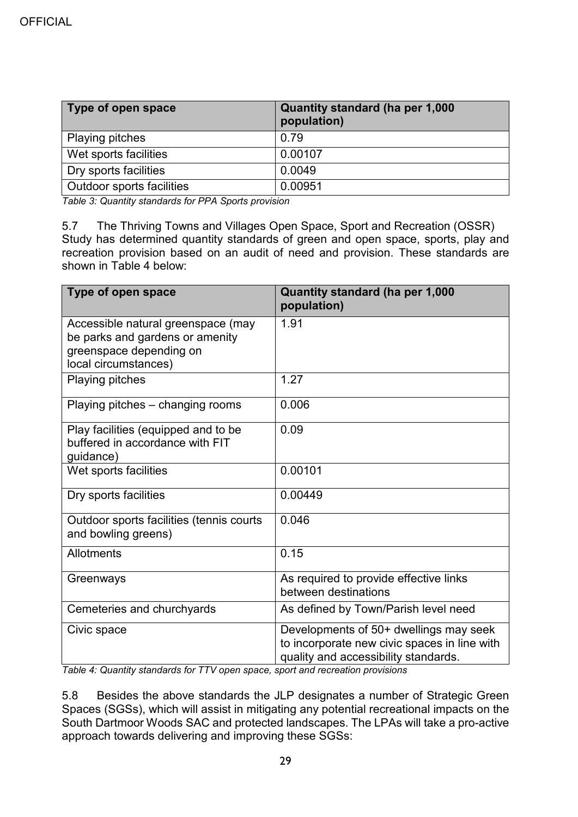| Type of open space        | Quantity standard (ha per 1,000<br>population) |
|---------------------------|------------------------------------------------|
| <b>Playing pitches</b>    | 0.79                                           |
| Wet sports facilities     | 0.00107                                        |
| Dry sports facilities     | 0.0049                                         |
| Outdoor sports facilities | 0.00951                                        |

*Table 3: Quantity standards for PPA Sports provision*

5.7 The Thriving Towns and Villages Open Space, Sport and Recreation (OSSR) Study has determined quantity standards of green and open space, sports, play and recreation provision based on an audit of need and provision. These standards are shown in Table 4 below:

| Type of open space                                                                                                       | Quantity standard (ha per 1,000<br>population)                                                                                 |
|--------------------------------------------------------------------------------------------------------------------------|--------------------------------------------------------------------------------------------------------------------------------|
| Accessible natural greenspace (may<br>be parks and gardens or amenity<br>greenspace depending on<br>local circumstances) | 1.91                                                                                                                           |
| Playing pitches                                                                                                          | 1.27                                                                                                                           |
| Playing pitches – changing rooms                                                                                         | 0.006                                                                                                                          |
| Play facilities (equipped and to be<br>buffered in accordance with FIT<br>guidance)                                      | 0.09                                                                                                                           |
| Wet sports facilities                                                                                                    | 0.00101                                                                                                                        |
| Dry sports facilities                                                                                                    | 0.00449                                                                                                                        |
| Outdoor sports facilities (tennis courts<br>and bowling greens)                                                          | 0.046                                                                                                                          |
| Allotments                                                                                                               | 0.15                                                                                                                           |
| Greenways                                                                                                                | As required to provide effective links<br>between destinations                                                                 |
| Cemeteries and churchyards                                                                                               | As defined by Town/Parish level need                                                                                           |
| Civic space                                                                                                              | Developments of 50+ dwellings may seek<br>to incorporate new civic spaces in line with<br>quality and accessibility standards. |

*Table 4: Quantity standards for TTV open space, sport and recreation provisions*

5.8 Besides the above standards the JLP designates a number of Strategic Green Spaces (SGSs), which will assist in mitigating any potential recreational impacts on the South Dartmoor Woods SAC and protected landscapes. The LPAs will take a pro-active approach towards delivering and improving these SGSs: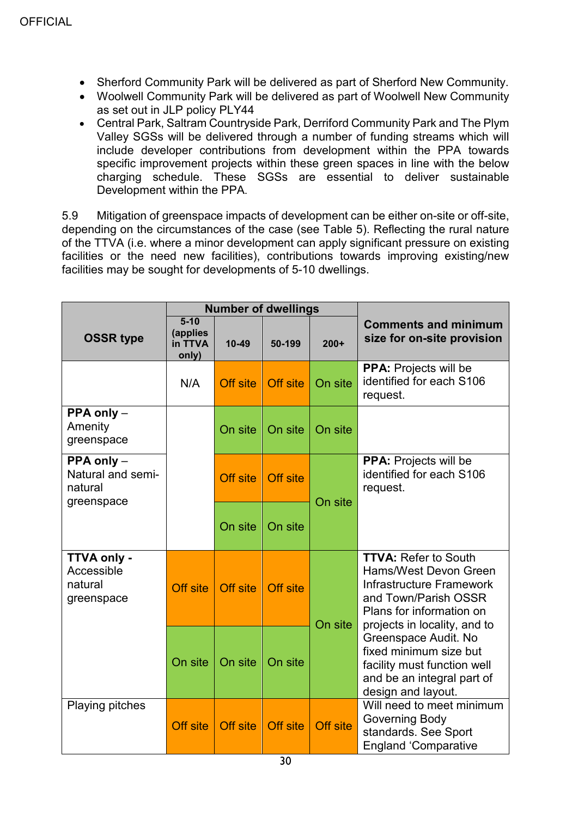- Sherford Community Park will be delivered as part of Sherford New Community.
- Woolwell Community Park will be delivered as part of Woolwell New Community as set out in JLP policy PLY44
- Central Park, Saltram Countryside Park, Derriford Community Park and The Plym Valley SGSs will be delivered through a number of funding streams which will include developer contributions from development within the PPA towards specific improvement projects within these green spaces in line with the below charging schedule. These SGSs are essential to deliver sustainable Development within the PPA.

5.9 Mitigation of greenspace impacts of development can be either on-site or off-site, depending on the circumstances of the case (see Table 5). Reflecting the rural nature of the TTVA (i.e. where a minor development can apply significant pressure on existing facilities or the need new facilities), contributions towards improving existing/new facilities may be sought for developments of 5-10 dwellings.

|                                                                              | <b>Number of dwellings</b>               |           |          |                 |                                                                                                                                                                             |  |  |  |
|------------------------------------------------------------------------------|------------------------------------------|-----------|----------|-----------------|-----------------------------------------------------------------------------------------------------------------------------------------------------------------------------|--|--|--|
| <b>OSSR type</b>                                                             | $5 - 10$<br>(applies<br>in TTVA<br>only) | $10 - 49$ | 50-199   | $200+$          | <b>Comments and minimum</b><br>size for on-site provision                                                                                                                   |  |  |  |
|                                                                              | N/A                                      | Off site  | Off site | On site         | <b>PPA:</b> Projects will be<br>identified for each S106<br>request.                                                                                                        |  |  |  |
| <b>PPA only <math>-</math></b><br>Amenity<br>greenspace                      |                                          | On site   | On site  | On site         |                                                                                                                                                                             |  |  |  |
| <b>PPA only <math>-</math></b><br>Natural and semi-<br>natural<br>greenspace |                                          | Off site  | Off site | On site         | PPA: Projects will be<br>identified for each S106<br>request.                                                                                                               |  |  |  |
|                                                                              |                                          | On site   | On site  |                 |                                                                                                                                                                             |  |  |  |
| TTVA only -<br>Accessible<br>natural<br>greenspace                           | Off site                                 | Off site  | Off site | On site         | <b>TTVA: Refer to South</b><br>Hams/West Devon Green<br><b>Infrastructure Framework</b><br>and Town/Parish OSSR<br>Plans for information on<br>projects in locality, and to |  |  |  |
|                                                                              | On site                                  | On site   | On site  |                 | Greenspace Audit. No<br>fixed minimum size but<br>facility must function well<br>and be an integral part of<br>design and layout.                                           |  |  |  |
| <b>Playing pitches</b>                                                       | <b>Off site</b>                          | Off site  | Off site | <b>Off site</b> | Will need to meet minimum<br><b>Governing Body</b><br>standards. See Sport<br><b>England 'Comparative</b>                                                                   |  |  |  |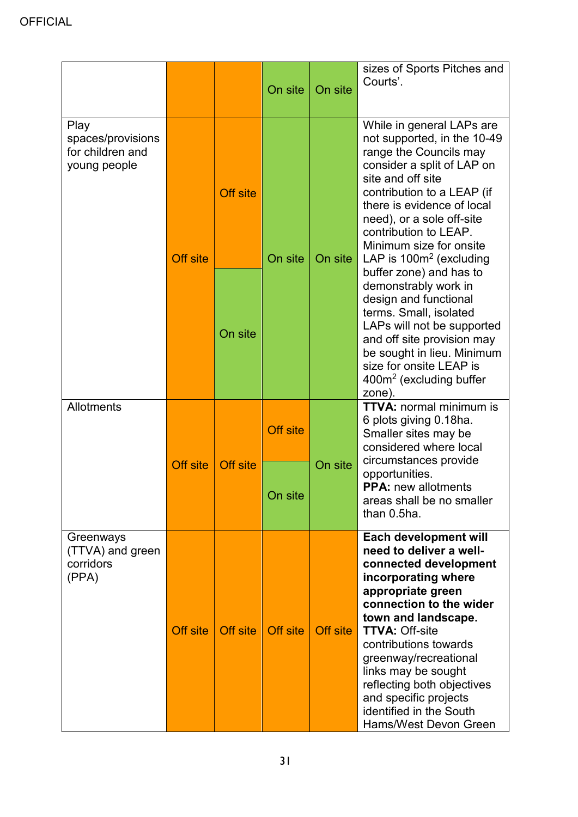|                                                               |                 |                 | On site         | On site  | sizes of Sports Pitches and<br>Courts'.                                                                                                                                                                                                                                                                                                                                              |  |
|---------------------------------------------------------------|-----------------|-----------------|-----------------|----------|--------------------------------------------------------------------------------------------------------------------------------------------------------------------------------------------------------------------------------------------------------------------------------------------------------------------------------------------------------------------------------------|--|
| Play<br>spaces/provisions<br>for children and<br>young people | <b>Off site</b> | <b>Off site</b> | On site         | On site  | While in general LAPs are<br>not supported, in the 10-49<br>range the Councils may<br>consider a split of LAP on<br>site and off site<br>contribution to a LEAP (if<br>there is evidence of local<br>need), or a sole off-site<br>contribution to LEAP.<br>Minimum size for onsite<br>LAP is $100m^2$ (excluding                                                                     |  |
|                                                               |                 | On site         |                 |          | buffer zone) and has to<br>demonstrably work in<br>design and functional<br>terms. Small, isolated<br>LAPs will not be supported<br>and off site provision may<br>be sought in lieu. Minimum<br>size for onsite LEAP is<br>400m <sup>2</sup> (excluding buffer<br>zone).                                                                                                             |  |
| <b>Allotments</b>                                             |                 |                 | <b>Off site</b> |          | <b>TTVA: normal minimum is</b><br>6 plots giving 0.18ha.<br>Smaller sites may be<br>considered where local<br>circumstances provide                                                                                                                                                                                                                                                  |  |
|                                                               | <b>Off site</b> | <b>Off site</b> | On site         | On site  | opportunities.<br><b>PPA: new allotments</b><br>areas shall be no smaller<br>than 0.5ha.                                                                                                                                                                                                                                                                                             |  |
| Greenways<br>(TTVA) and green<br>corridors<br>(PPA)           | Off site        | <b>Off</b> site | Off site        | Off site | Each development will<br>need to deliver a well-<br>connected development<br>incorporating where<br>appropriate green<br>connection to the wider<br>town and landscape.<br><b>TTVA: Off-site</b><br>contributions towards<br>greenway/recreational<br>links may be sought<br>reflecting both objectives<br>and specific projects<br>identified in the South<br>Hams/West Devon Green |  |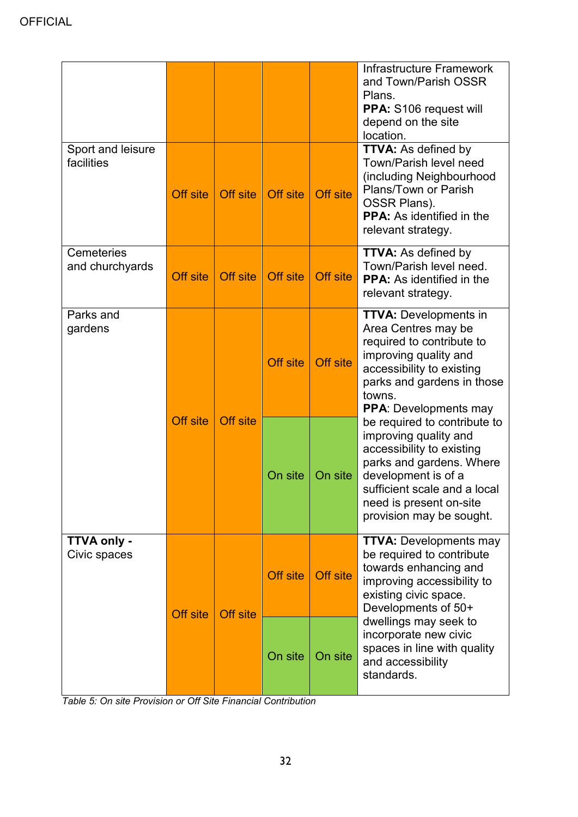|                                 |          |                 |                 |                 | <b>Infrastructure Framework</b><br>and Town/Parish OSSR<br>Plans.<br>PPA: S106 request will<br>depend on the site<br>location.                                                                                               |
|---------------------------------|----------|-----------------|-----------------|-----------------|------------------------------------------------------------------------------------------------------------------------------------------------------------------------------------------------------------------------------|
| Sport and leisure<br>facilities | Off site | Off site        | Off site        | <b>Off site</b> | <b>TTVA: As defined by</b><br><b>Town/Parish level need</b><br>(including Neighbourhood<br>Plans/Town or Parish<br>OSSR Plans).<br><b>PPA:</b> As identified in the<br>relevant strategy.                                    |
| Cemeteries<br>and churchyards   | Off site | Off site        | Off site        | Off site        | <b>TTVA: As defined by</b><br>Town/Parish level need.<br><b>PPA:</b> As identified in the<br>relevant strategy.                                                                                                              |
| Parks and<br>gardens            |          |                 | <b>Off site</b> | <b>Off site</b> | <b>TTVA: Developments in</b><br>Area Centres may be<br>required to contribute to<br>improving quality and<br>accessibility to existing<br>parks and gardens in those<br>towns.<br><b>PPA:</b> Developments may               |
|                                 | Off site | <b>Off site</b> | On site         | On site         | be required to contribute to<br>improving quality and<br>accessibility to existing<br>parks and gardens. Where<br>development is of a<br>sufficient scale and a local<br>need is present on-site<br>provision may be sought. |
| TTVA only -<br>Civic spaces     | Off site | Off site        | Off site        | <b>Off site</b> | <b>TTVA: Developments may</b><br>be required to contribute<br>towards enhancing and<br>improving accessibility to<br>existing civic space.<br>Developments of 50+                                                            |
|                                 |          |                 | On site         | On site         | dwellings may seek to<br>incorporate new civic<br>spaces in line with quality<br>and accessibility<br>standards.                                                                                                             |

*Table 5: On site Provision or Off Site Financial Contribution*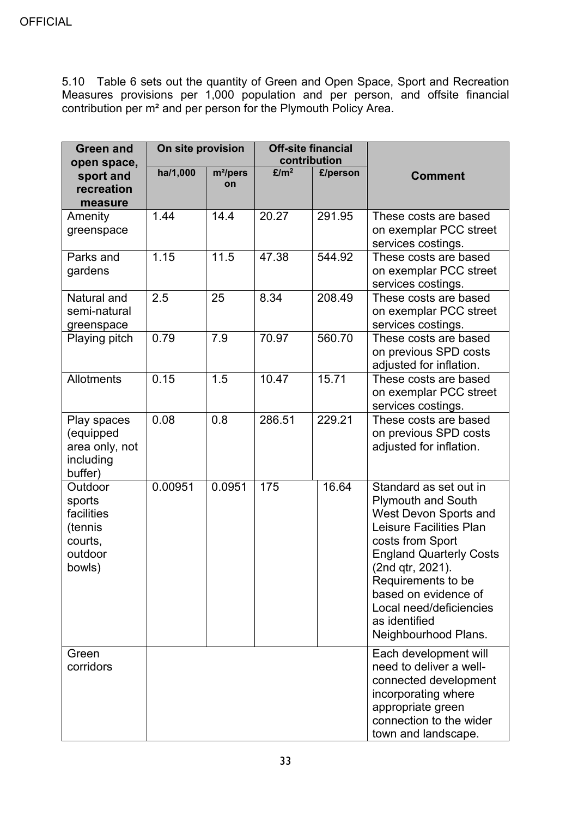5.10 Table 6 sets out the quantity of Green and Open Space, Sport and Recreation Measures provisions per 1,000 population and per person, and offsite financial contribution per m² and per person for the Plymouth Policy Area.

| <b>Green and</b><br>open space,                                            | On site provision |                            | <b>Off-site financial</b><br>contribution |          |                                                                                                                                                                                                                                                                                                     |
|----------------------------------------------------------------------------|-------------------|----------------------------|-------------------------------------------|----------|-----------------------------------------------------------------------------------------------------------------------------------------------------------------------------------------------------------------------------------------------------------------------------------------------------|
| sport and<br>recreation<br>measure                                         | ha/1,000          | m <sup>2</sup> /pers<br>on | E/m <sup>2</sup>                          | £/person | <b>Comment</b>                                                                                                                                                                                                                                                                                      |
| Amenity<br>greenspace                                                      | 1.44              | 14.4                       | 20.27                                     | 291.95   | These costs are based<br>on exemplar PCC street<br>services costings.                                                                                                                                                                                                                               |
| Parks and<br>gardens                                                       | 1.15              | 11.5                       | 47.38                                     | 544.92   | These costs are based<br>on exemplar PCC street<br>services costings.                                                                                                                                                                                                                               |
| Natural and<br>semi-natural<br>greenspace                                  | 2.5               | 25                         | 8.34                                      | 208.49   | These costs are based<br>on exemplar PCC street<br>services costings.                                                                                                                                                                                                                               |
| Playing pitch                                                              | 0.79              | 7.9                        | 70.97                                     | 560.70   | These costs are based<br>on previous SPD costs<br>adjusted for inflation.                                                                                                                                                                                                                           |
| <b>Allotments</b>                                                          | 0.15              | 1.5                        | 10.47                                     | 15.71    | These costs are based<br>on exemplar PCC street<br>services costings.                                                                                                                                                                                                                               |
| Play spaces<br>(equipped<br>area only, not<br>including<br>buffer)         | 0.08              | 0.8                        | 286.51                                    | 229.21   | These costs are based<br>on previous SPD costs<br>adjusted for inflation.                                                                                                                                                                                                                           |
| Outdoor<br>sports<br>facilities<br>(tennis<br>courts,<br>outdoor<br>bowls) | 0.00951           | 0.0951                     | 175                                       | 16.64    | Standard as set out in<br><b>Plymouth and South</b><br>West Devon Sports and<br>Leisure Facilities Plan<br>costs from Sport<br><b>England Quarterly Costs</b><br>(2nd qtr, 2021).<br>Requirements to be<br>based on evidence of<br>Local need/deficiencies<br>as identified<br>Neighbourhood Plans. |
| Green<br>corridors                                                         |                   |                            |                                           |          | Each development will<br>need to deliver a well-<br>connected development<br>incorporating where<br>appropriate green<br>connection to the wider<br>town and landscape.                                                                                                                             |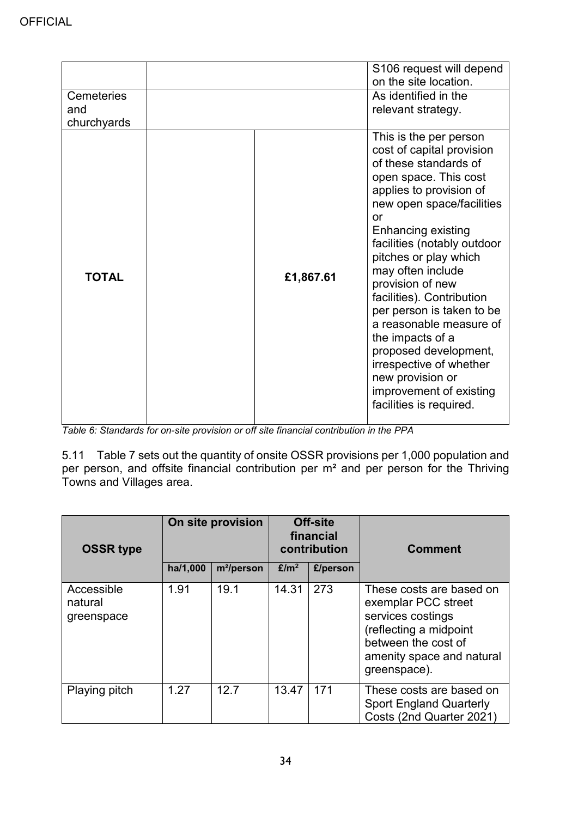|                                  |           | S106 request will depend<br>on the site location.                                                                                                                                                                                                                                                                                                                                                                                                                                                                                        |
|----------------------------------|-----------|------------------------------------------------------------------------------------------------------------------------------------------------------------------------------------------------------------------------------------------------------------------------------------------------------------------------------------------------------------------------------------------------------------------------------------------------------------------------------------------------------------------------------------------|
| Cemeteries<br>and<br>churchyards |           | As identified in the<br>relevant strategy.                                                                                                                                                                                                                                                                                                                                                                                                                                                                                               |
| <b>TOTAL</b>                     | £1,867.61 | This is the per person<br>cost of capital provision<br>of these standards of<br>open space. This cost<br>applies to provision of<br>new open space/facilities<br>or<br><b>Enhancing existing</b><br>facilities (notably outdoor<br>pitches or play which<br>may often include<br>provision of new<br>facilities). Contribution<br>per person is taken to be<br>a reasonable measure of<br>the impacts of a<br>proposed development,<br>irrespective of whether<br>new provision or<br>improvement of existing<br>facilities is required. |

*Table 6: Standards for on-site provision or off site financial contribution in the PPA*

5.11 Table 7 sets out the quantity of onsite OSSR provisions per 1,000 population and per person, and offsite financial contribution per m² and per person for the Thriving Towns and Villages area.

| <b>OSSR type</b>                    |          | On site provision      |                  | Off-site<br>financial<br>contribution | <b>Comment</b>                                                                                                                                                     |
|-------------------------------------|----------|------------------------|------------------|---------------------------------------|--------------------------------------------------------------------------------------------------------------------------------------------------------------------|
|                                     | ha/1,000 | m <sup>2</sup> /person | E/m <sup>2</sup> | £/person                              |                                                                                                                                                                    |
| Accessible<br>natural<br>greenspace | 1.91     | 19.1                   | 14.31            | 273                                   | These costs are based on<br>exemplar PCC street<br>services costings<br>(reflecting a midpoint<br>between the cost of<br>amenity space and natural<br>greenspace). |
| Playing pitch                       | 1.27     | 12.7                   | 13.47            | 171                                   | These costs are based on<br><b>Sport England Quarterly</b><br>Costs (2nd Quarter 2021)                                                                             |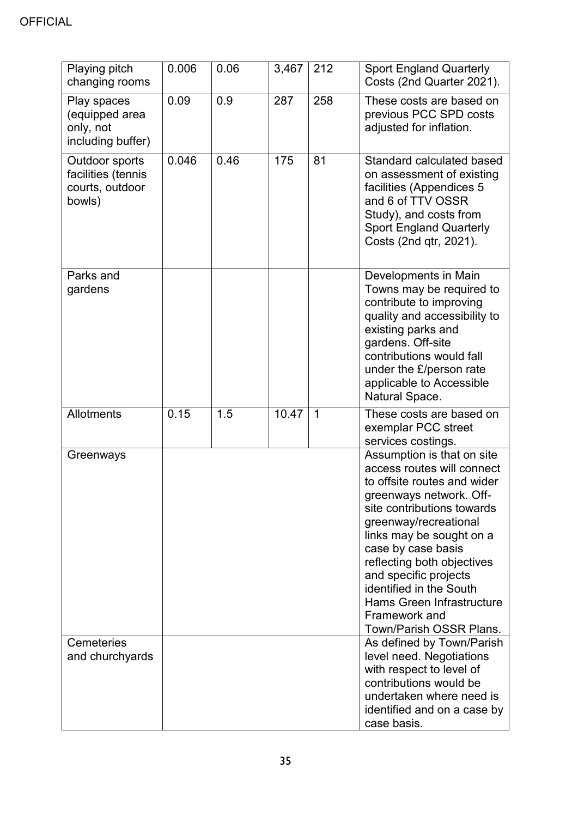## **OFFICIAL**

| Playing pitch<br>changing rooms                                   | 0.006 | 0.06 | 3,467 | 212         | <b>Sport England Quarterly</b><br>Costs (2nd Quarter 2021).                                                                                                                                                                                                                                                                                                                                   |
|-------------------------------------------------------------------|-------|------|-------|-------------|-----------------------------------------------------------------------------------------------------------------------------------------------------------------------------------------------------------------------------------------------------------------------------------------------------------------------------------------------------------------------------------------------|
| Play spaces<br>(equipped area<br>only, not<br>including buffer)   | 0.09  | 0.9  | 287   | 258         | These costs are based on<br>previous PCC SPD costs<br>adjusted for inflation.                                                                                                                                                                                                                                                                                                                 |
| Outdoor sports<br>facilities (tennis<br>courts, outdoor<br>bowls) | 0.046 | 0.46 | 175   | 81          | Standard calculated based<br>on assessment of existing<br>facilities (Appendices 5<br>and 6 of TTV OSSR<br>Study), and costs from<br><b>Sport England Quarterly</b><br>Costs (2nd qtr, 2021).                                                                                                                                                                                                 |
| Parks and<br>gardens                                              |       |      |       |             | Developments in Main<br>Towns may be required to<br>contribute to improving<br>quality and accessibility to<br>existing parks and<br>gardens. Off-site<br>contributions would fall<br>under the £/person rate<br>applicable to Accessible<br>Natural Space.                                                                                                                                   |
| Allotments                                                        | 0.15  | 1.5  | 10.47 | $\mathbf 1$ | These costs are based on<br>exemplar PCC street<br>services costings.                                                                                                                                                                                                                                                                                                                         |
| Greenways                                                         |       |      |       |             | Assumption is that on site<br>access routes will connect<br>to offsite routes and wider<br>greenways network. Off-<br>site contributions towards<br>greenway/recreational<br>links may be sought on a<br>case by case basis<br>reflecting both objectives<br>and specific projects<br>identified in the South<br><b>Hams Green Infrastructure</b><br>Framework and<br>Town/Parish OSSR Plans. |
| Cemeteries<br>and churchyards                                     |       |      |       |             | As defined by Town/Parish<br>level need. Negotiations                                                                                                                                                                                                                                                                                                                                         |
|                                                                   |       |      |       |             | with respect to level of<br>contributions would be<br>undertaken where need is<br>identified and on a case by<br>case basis.                                                                                                                                                                                                                                                                  |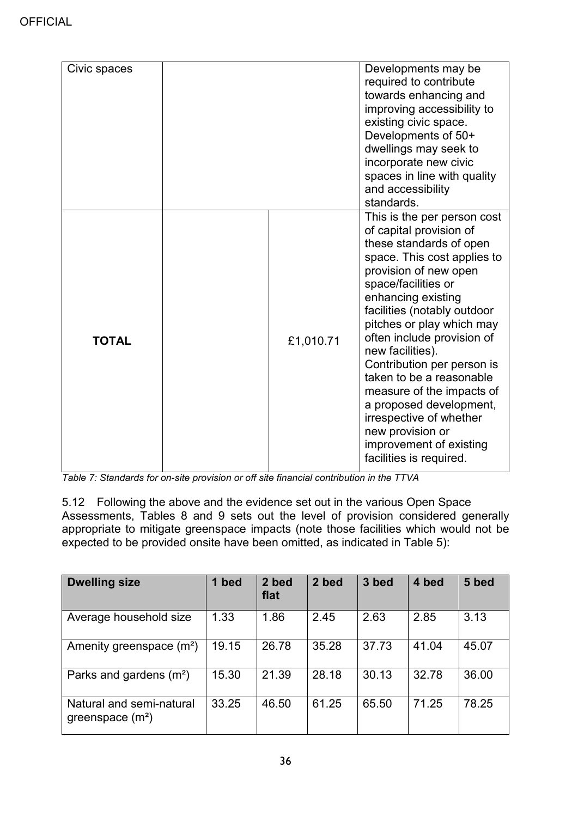| Civic spaces |           | Developments may be<br>required to contribute<br>towards enhancing and<br>improving accessibility to<br>existing civic space.<br>Developments of 50+<br>dwellings may seek to<br>incorporate new civic<br>spaces in line with quality<br>and accessibility<br>standards.                                                                                                                                                                                                                                                    |
|--------------|-----------|-----------------------------------------------------------------------------------------------------------------------------------------------------------------------------------------------------------------------------------------------------------------------------------------------------------------------------------------------------------------------------------------------------------------------------------------------------------------------------------------------------------------------------|
| <b>TOTAL</b> | £1,010.71 | This is the per person cost<br>of capital provision of<br>these standards of open<br>space. This cost applies to<br>provision of new open<br>space/facilities or<br>enhancing existing<br>facilities (notably outdoor<br>pitches or play which may<br>often include provision of<br>new facilities).<br>Contribution per person is<br>taken to be a reasonable<br>measure of the impacts of<br>a proposed development,<br>irrespective of whether<br>new provision or<br>improvement of existing<br>facilities is required. |

*Table 7: Standards for on-site provision or off site financial contribution in the TTVA*

5.12 Following the above and the evidence set out in the various Open Space Assessments, Tables 8 and 9 sets out the level of provision considered generally appropriate to mitigate greenspace impacts (note those facilities which would not be expected to be provided onsite have been omitted, as indicated in Table 5):

| <b>Dwelling size</b>                           | bed<br>1 | 2 bed<br>flat | 2 bed | 3 bed | 4 bed | 5 bed |
|------------------------------------------------|----------|---------------|-------|-------|-------|-------|
| Average household size                         | 1.33     | 1.86          | 2.45  | 2.63  | 2.85  | 3.13  |
| Amenity greenspace $(m2)$                      | 19.15    | 26.78         | 35.28 | 37.73 | 41.04 | 45.07 |
| Parks and gardens $(m2)$                       | 15.30    | 21.39         | 28.18 | 30.13 | 32.78 | 36.00 |
| Natural and semi-natural<br>greenspace $(m^2)$ | 33.25    | 46.50         | 61.25 | 65.50 | 71.25 | 78.25 |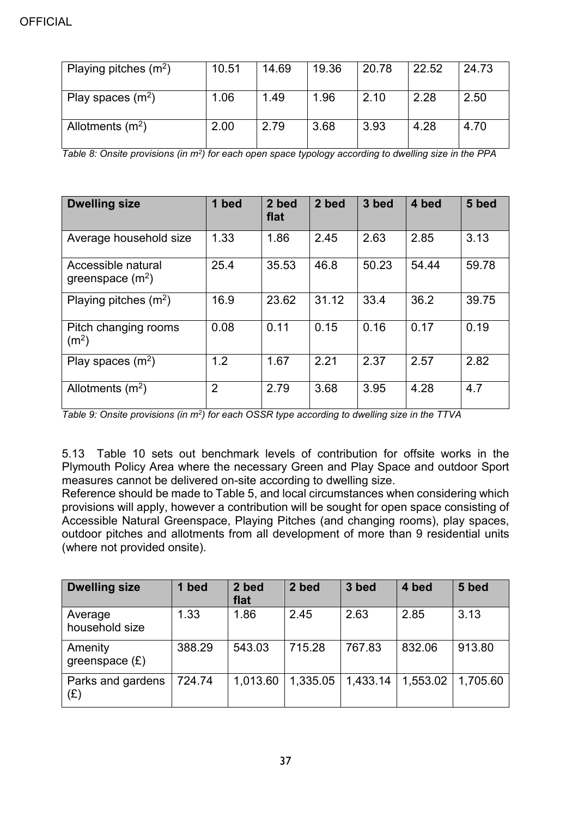| Playing pitches $(m^2)$ | 10.51 | 14.69 | 19.36 | 20.78 | 22.52 | 24.73 |
|-------------------------|-------|-------|-------|-------|-------|-------|
| Play spaces $(m^2)$     | 1.06  | 1.49  | 1.96  | 2.10  | 2.28  | 2.50  |
| Allotments $(m^2)$      | 2.00  | 2.79  | 3.68  | 3.93  | 4.28  | 4.70  |

*Table 8: Onsite provisions (in m2) for each open space typology according to dwelling size in the PPA*

| <b>Dwelling size</b>                      | 1 bed          | 2 bed<br>flat | 2 bed | 3 bed | 4 bed | 5 bed |
|-------------------------------------------|----------------|---------------|-------|-------|-------|-------|
| Average household size                    | 1.33           | 1.86          | 2.45  | 2.63  | 2.85  | 3.13  |
| Accessible natural<br>greenspace $(m^2)$  | 25.4           | 35.53         | 46.8  | 50.23 | 54.44 | 59.78 |
| Playing pitches $(m^2)$                   | 16.9           | 23.62         | 31.12 | 33.4  | 36.2  | 39.75 |
| Pitch changing rooms<br>(m <sup>2</sup> ) | 0.08           | 0.11          | 0.15  | 0.16  | 0.17  | 0.19  |
| Play spaces $(m^2)$                       | 1.2            | 1.67          | 2.21  | 2.37  | 2.57  | 2.82  |
| Allotments $(m^2)$                        | $\overline{2}$ | 2.79          | 3.68  | 3.95  | 4.28  | 4.7   |

*Table 9: Onsite provisions (in m2) for each OSSR type according to dwelling size in the TTVA*

5.13 Table 10 sets out benchmark levels of contribution for offsite works in the Plymouth Policy Area where the necessary Green and Play Space and outdoor Sport measures cannot be delivered on-site according to dwelling size.

Reference should be made to Table 5, and local circumstances when considering which provisions will apply, however a contribution will be sought for open space consisting of Accessible Natural Greenspace, Playing Pitches (and changing rooms), play spaces, outdoor pitches and allotments from all development of more than 9 residential units (where not provided onsite).

| <b>Dwelling size</b>        | 1 bed  | 2 bed<br>flat | 2 bed    | 3 bed    | 4 bed    | 5 bed    |
|-----------------------------|--------|---------------|----------|----------|----------|----------|
| Average<br>household size   | 1.33   | 1.86          | 2.45     | 2.63     | 2.85     | 3.13     |
| Amenity<br>greenspace $(E)$ | 388.29 | 543.03        | 715.28   | 767.83   | 832.06   | 913.80   |
| Parks and gardens<br>(£)    | 724.74 | 1,013.60      | 1,335.05 | 1,433.14 | 1,553.02 | 1,705.60 |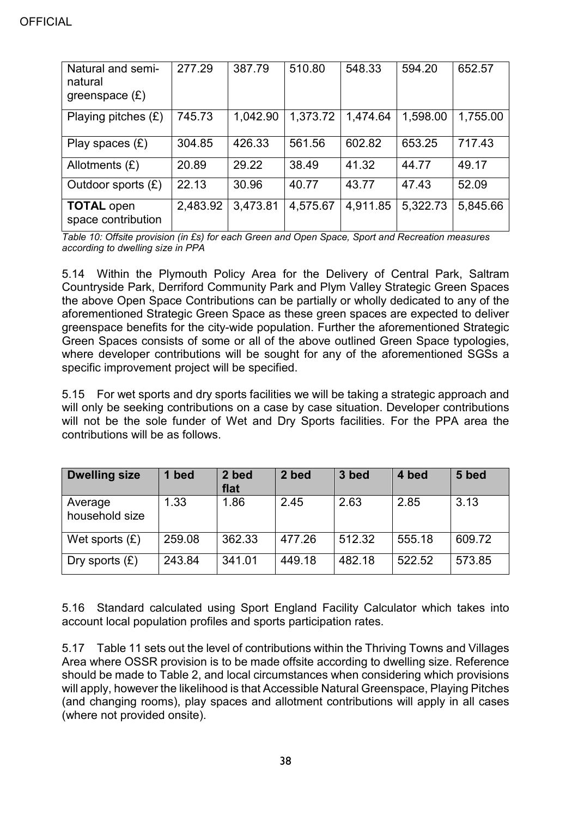| Natural and semi-<br>natural<br>greenspace $(E)$ | 277.29   | 387.79   | 510.80   | 548.33   | 594.20   | 652.57   |
|--------------------------------------------------|----------|----------|----------|----------|----------|----------|
| Playing pitches $(E)$                            | 745.73   | 1,042.90 | 1,373.72 | 1,474.64 | 1,598.00 | 1,755.00 |
| Play spaces $(E)$                                | 304.85   | 426.33   | 561.56   | 602.82   | 653.25   | 717.43   |
| Allotments $(E)$                                 | 20.89    | 29.22    | 38.49    | 41.32    | 44.77    | 49.17    |
| Outdoor sports $(E)$                             | 22.13    | 30.96    | 40.77    | 43.77    | 47.43    | 52.09    |
| <b>TOTAL open</b><br>space contribution          | 2,483.92 | 3,473.81 | 4,575.67 | 4,911.85 | 5,322.73 | 5,845.66 |

*Table 10: Offsite provision (in £s) for each Green and Open Space, Sport and Recreation measures according to dwelling size in PPA*

5.14 Within the Plymouth Policy Area for the Delivery of Central Park, Saltram Countryside Park, Derriford Community Park and Plym Valley Strategic Green Spaces the above Open Space Contributions can be partially or wholly dedicated to any of the aforementioned Strategic Green Space as these green spaces are expected to deliver greenspace benefits for the city-wide population. Further the aforementioned Strategic Green Spaces consists of some or all of the above outlined Green Space typologies, where developer contributions will be sought for any of the aforementioned SGSs a specific improvement project will be specified.

5.15 For wet sports and dry sports facilities we will be taking a strategic approach and will only be seeking contributions on a case by case situation. Developer contributions will not be the sole funder of Wet and Dry Sports facilities. For the PPA area the contributions will be as follows.

| <b>Dwelling size</b>      | bed    | 2 bed<br>flat | 2 bed  | 3 bed  | 4 bed  | 5 bed  |
|---------------------------|--------|---------------|--------|--------|--------|--------|
| Average<br>household size | 1.33   | 1.86          | 2.45   | 2.63   | 2.85   | 3.13   |
| Wet sports $(E)$          | 259.08 | 362.33        | 477.26 | 512.32 | 555.18 | 609.72 |
| Dry sports $(E)$          | 243.84 | 341.01        | 449.18 | 482.18 | 522.52 | 573.85 |

5.16 Standard calculated using Sport England Facility Calculator which takes into account local population profiles and sports participation rates.

5.17 Table 11 sets out the level of contributions within the Thriving Towns and Villages Area where OSSR provision is to be made offsite according to dwelling size. Reference should be made to Table 2, and local circumstances when considering which provisions will apply, however the likelihood is that Accessible Natural Greenspace, Playing Pitches (and changing rooms), play spaces and allotment contributions will apply in all cases (where not provided onsite).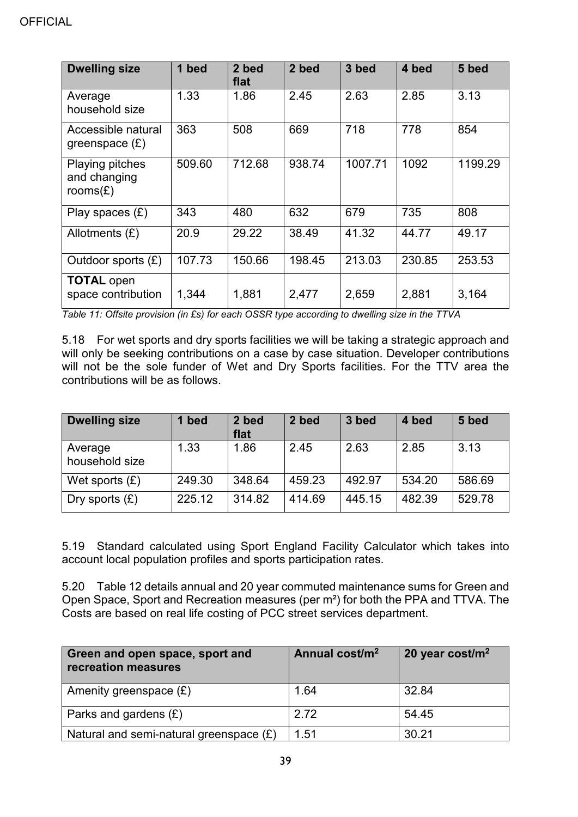| <b>Dwelling size</b>                                  | 1 bed  | 2 bed<br>flat | 2 bed  | 3 bed   | 4 bed  | 5 bed   |
|-------------------------------------------------------|--------|---------------|--------|---------|--------|---------|
| Average<br>household size                             | 1.33   | 1.86          | 2.45   | 2.63    | 2.85   | 3.13    |
| Accessible natural<br>greenspace $(E)$                | 363    | 508           | 669    | 718     | 778    | 854     |
| <b>Playing pitches</b><br>and changing<br>rooms $(E)$ | 509.60 | 712.68        | 938.74 | 1007.71 | 1092   | 1199.29 |
| Play spaces $(E)$                                     | 343    | 480           | 632    | 679     | 735    | 808     |
| Allotments $(E)$                                      | 20.9   | 29.22         | 38.49  | 41.32   | 44.77  | 49.17   |
| Outdoor sports $(E)$                                  | 107.73 | 150.66        | 198.45 | 213.03  | 230.85 | 253.53  |
| <b>TOTAL open</b><br>space contribution               | 1,344  | 1,881         | 2,477  | 2,659   | 2,881  | 3,164   |

*Table 11: Offsite provision (in £s) for each OSSR type according to dwelling size in the TTVA*

5.18 For wet sports and dry sports facilities we will be taking a strategic approach and will only be seeking contributions on a case by case situation. Developer contributions will not be the sole funder of Wet and Dry Sports facilities. For the TTV area the contributions will be as follows.

| <b>Dwelling size</b>      | bed    | 2 bed<br>flat | 2 bed  | 3 bed  | 4 bed  | 5 bed  |
|---------------------------|--------|---------------|--------|--------|--------|--------|
| Average<br>household size | 1.33   | 1.86          | 2.45   | 2.63   | 2.85   | 3.13   |
| Wet sports $(E)$          | 249.30 | 348.64        | 459.23 | 492.97 | 534.20 | 586.69 |
| Dry sports $(E)$          | 225.12 | 314.82        | 414.69 | 445.15 | 482.39 | 529.78 |

5.19 Standard calculated using Sport England Facility Calculator which takes into account local population profiles and sports participation rates.

5.20 Table 12 details annual and 20 year commuted maintenance sums for Green and Open Space, Sport and Recreation measures (per m²) for both the PPA and TTVA. The Costs are based on real life costing of PCC street services department.

| Green and open space, sport and<br>recreation measures | Annual cost/m <sup>2</sup> | 20 year cost/ $m2$ |
|--------------------------------------------------------|----------------------------|--------------------|
| Amenity greenspace $(E)$                               | 1.64                       | 32.84              |
| Parks and gardens $(E)$                                | 2.72                       | 54.45              |
| Natural and semi-natural greenspace $(E)$              | 1.51                       | 30.21              |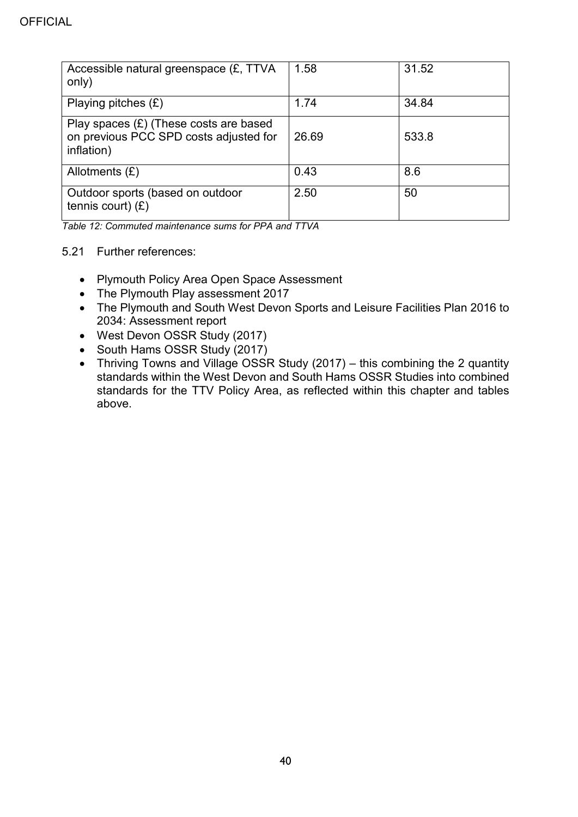| Accessible natural greenspace (£, TTVA<br>only)                                                  | 1.58  | 31.52 |
|--------------------------------------------------------------------------------------------------|-------|-------|
| Playing pitches $(E)$                                                                            | 1.74  | 34.84 |
| Play spaces $(E)$ (These costs are based<br>on previous PCC SPD costs adjusted for<br>inflation) | 26.69 | 533.8 |
| Allotments $(E)$                                                                                 | 0.43  | 8.6   |
| Outdoor sports (based on outdoor<br>tennis court) $(E)$                                          | 2.50  | 50    |

*Table 12: Commuted maintenance sums for PPA and TTVA*

#### 5.21 Further references:

- Plymouth Policy Area Open Space Assessment
- The Plymouth Play assessment 2017
- The Plymouth and South West Devon Sports and Leisure Facilities Plan 2016 to 2034: Assessment report
- West Devon OSSR Study (2017)
- South Hams OSSR Study (2017)
- Thriving Towns and Village OSSR Study (2017) this combining the 2 quantity standards within the West Devon and South Hams OSSR Studies into combined standards for the TTV Policy Area, as reflected within this chapter and tables above.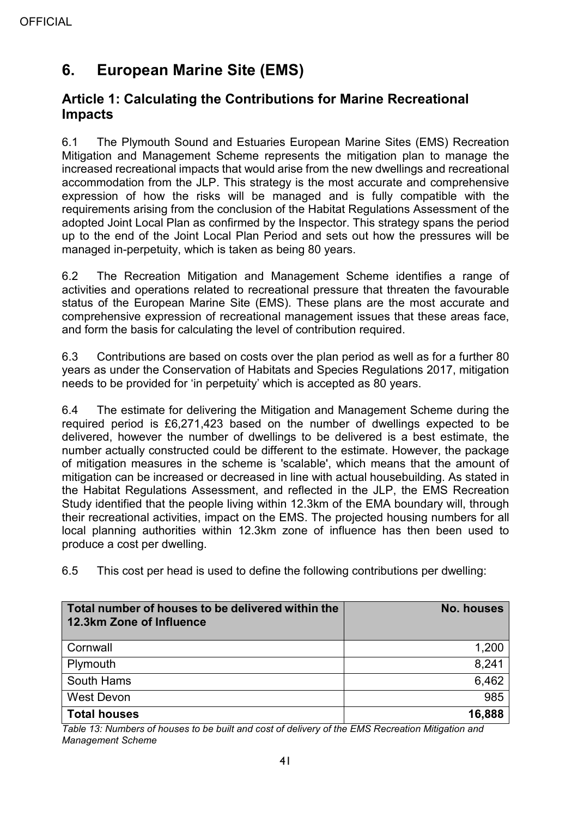# <span id="page-40-0"></span>**6. European Marine Site (EMS)**

## <span id="page-40-1"></span>**Article 1: Calculating the Contributions for Marine Recreational Impacts**

6.1 The Plymouth Sound and Estuaries European Marine Sites (EMS) Recreation Mitigation and Management Scheme represents the mitigation plan to manage the increased recreational impacts that would arise from the new dwellings and recreational accommodation from the JLP. This strategy is the most accurate and comprehensive expression of how the risks will be managed and is fully compatible with the requirements arising from the conclusion of the Habitat Regulations Assessment of the adopted Joint Local Plan as confirmed by the Inspector. This strategy spans the period up to the end of the Joint Local Plan Period and sets out how the pressures will be managed in-perpetuity, which is taken as being 80 years.

6.2 The Recreation Mitigation and Management Scheme identifies a range of activities and operations related to recreational pressure that threaten the favourable status of the European Marine Site (EMS). These plans are the most accurate and comprehensive expression of recreational management issues that these areas face, and form the basis for calculating the level of contribution required.

6.3 Contributions are based on costs over the plan period as well as for a further 80 years as under the Conservation of Habitats and Species Regulations 2017, mitigation needs to be provided for 'in perpetuity' which is accepted as 80 years.

6.4 The estimate for delivering the Mitigation and Management Scheme during the required period is £6,271,423 based on the number of dwellings expected to be delivered, however the number of dwellings to be delivered is a best estimate, the number actually constructed could be different to the estimate. However, the package of mitigation measures in the scheme is 'scalable', which means that the amount of mitigation can be increased or decreased in line with actual housebuilding. As stated in the Habitat Regulations Assessment, and reflected in the JLP, the EMS Recreation Study identified that the people living within 12.3km of the EMA boundary will, through their recreational activities, impact on the EMS. The projected housing numbers for all local planning authorities within 12.3km zone of influence has then been used to produce a cost per dwelling.

6.5 This cost per head is used to define the following contributions per dwelling:

| Total number of houses to be delivered within the<br>12.3km Zone of Influence | <b>No. houses</b> |
|-------------------------------------------------------------------------------|-------------------|
| Cornwall                                                                      | 1,200             |
| Plymouth                                                                      | 8,241             |
| South Hams                                                                    | 6,462             |
| <b>West Devon</b>                                                             | 985               |
| <b>Total houses</b>                                                           | 16,888            |

*Table 13: Numbers of houses to be built and cost of delivery of the EMS Recreation Mitigation and Management Scheme*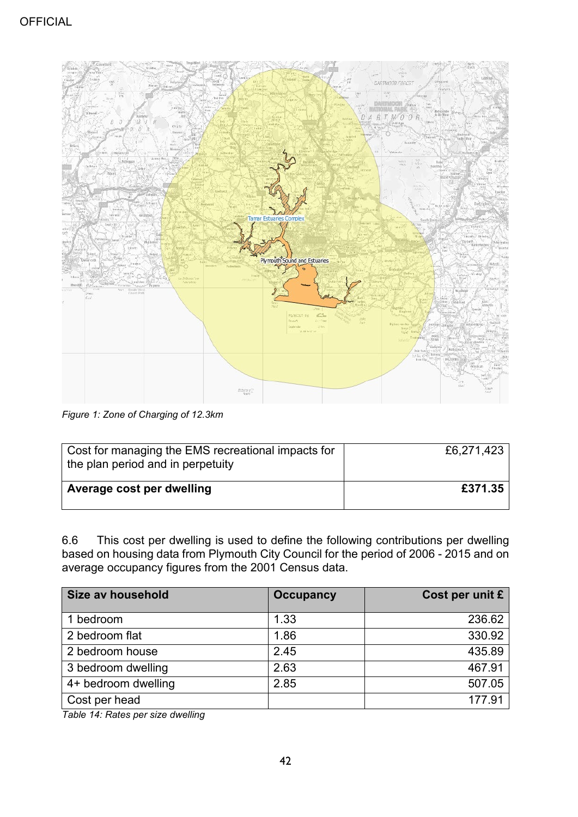

*Figure 1: Zone of Charging of 12.3km*

| Cost for managing the EMS recreational impacts for<br>the plan period and in perpetuity | £6,271,423 |
|-----------------------------------------------------------------------------------------|------------|
| Average cost per dwelling                                                               | £371.35    |

6.6 This cost per dwelling is used to define the following contributions per dwelling based on housing data from Plymouth City Council for the period of 2006 - 2015 and on average occupancy figures from the 2001 Census data.

| Size av household   | <b>Occupancy</b> | Cost per unit £ |
|---------------------|------------------|-----------------|
| 1 bedroom           | 1.33             | 236.62          |
| 2 bedroom flat      | 1.86             | 330.92          |
| 2 bedroom house     | 2.45             | 435.89          |
| 3 bedroom dwelling  | 2.63             | 467.91          |
| 4+ bedroom dwelling | 2.85             | 507.05          |
| Cost per head       |                  | 177.91          |

*Table 14: Rates per size dwelling*